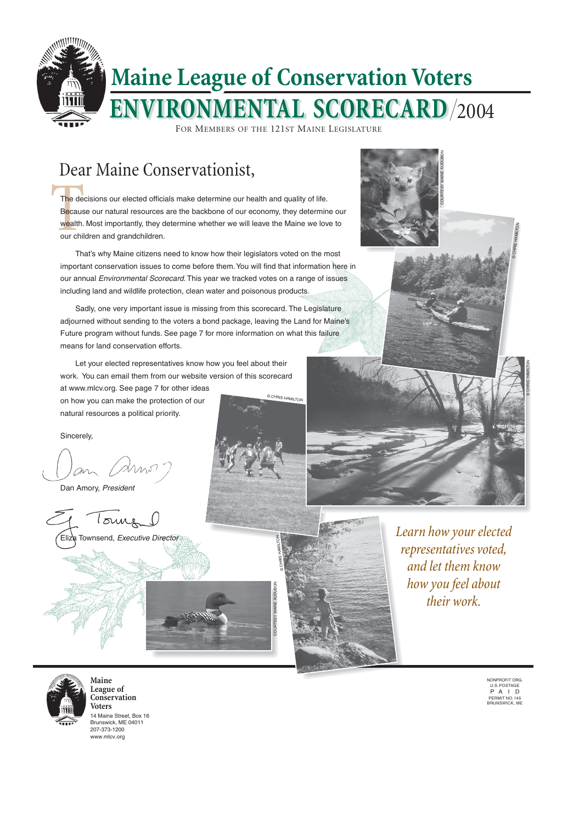The december<br>Becaus<br>wealth.<br>our chil The decisions our elected officials make determine our health and quality of life. Because our natural resources are the backbone of our economy, they determine our wealth. Most importantly, they determine whether we will leave the Maine we love to our children and grandchildren.

That's why Maine citizens need to know how their legislators voted on the most important conservation issues to come before them. You will find that information here in our annual Environmental Scorecard. This year we tracked votes on a range of issues including land and wildlife protection, clean water and poisonous products.

Sadly, one very important issue is missing from this scorecard. The Legislature adjourned without sending to the voters a bond package, leaving the Land for Maine's Future program without funds. See page 7 for more information on what this failure means for land conservation efforts.

> NONPROFIT ORG. U.S. POSTAGE P A I D PERMIT NO. 145 BRUNSWICK, ME

Let your elected representatives know how you feel about their work. You can email them from our website version of this scorecard

at www.mlcv.org. See page 7 for other ideas on how you can make the protection of our natural resources a political priority.

Sincerely,

Dan Amory, President

Tours Eliza Townsend, Executive Director

# Dear Maine Conservationist,



14 Maine Street, Box 16 Brunswick, ME 04011 207-373-1200 www.mlcv.org

**Maine League of Conservation Voters**

*Learn how your elected representatives voted, and let them know how you feel about their work.*

© CHRIS HAMILTON

© CHRIS HAMILTON

© CHRIS HAMILTON

© CHRIS HAMILTON

COURTESY MAINE AUDUBON





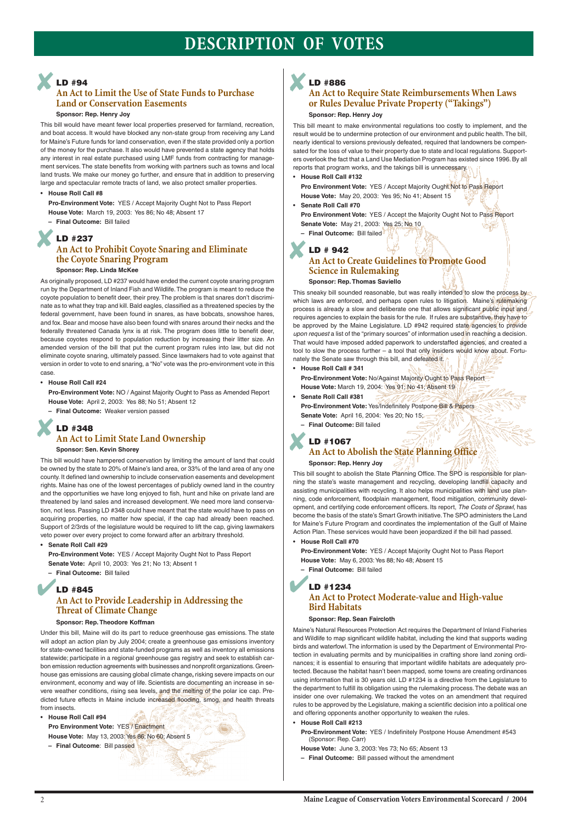# **DESCRIPTION OF VOTES**

## **An Act to Limit the Use of State Funds to Purchase Land or Conservation Easements**

#### **Sponsor: Rep. Henry Joy**

This bill would have meant fewer local properties preserved for farmland, recreation, and boat access. It would have blocked any non-state group from receiving any Land for Maine's Future funds for land conservation, even if the state provided only a portion of the money for the purchase. It also would have prevented a state agency that holds any interest in real estate purchased using LMF funds from contracting for management services. The state benefits from working with partners such as towns and local land trusts. We make our money go further, and ensure that in addition to preserving large and spectacular remote tracts of land, we also protect smaller properties.

#### • **House Roll Call #8**

**Pro-Environment Vote:** YES / Accept Majority Ought Not to Pass Report **House Vote:** March 19, 2003: Yes 86; No 48; Absent 17 **– Final Outcome:** Bill failed

## **An Act to Prohibit Coyote Snaring and Eliminate the Coyote Snaring Program Sponsor: Rep. Linda McKee**

## **LD #348 An Act to Limit State Land Ownership LD #348**<br>An Act to Limit State Land Ownership<br>Sponsor: Sen. Kevin Shorey

As originally proposed, LD #237 would have ended the current coyote snaring program run by the Department of Inland Fish and Wildlife. The program is meant to reduce the coyote population to benefit deer, their prey. The problem is that snares don't discriminate as to what they trap and kill. Bald eagles, classified as a threatened species by the federal government, have been found in snares, as have bobcats, snowshoe hares, and fox. Bear and moose have also been found with snares around their necks and the federally threatened Canada lynx is at risk. The program does little to benefit deer, because coyotes respond to population reduction by increasing their litter size. An amended version of the bill that put the current program rules into law, but did not eliminate coyote snaring, ultimately passed. Since lawmakers had to vote against that version in order to vote to end snaring, a "No" vote was the pro-environment vote in this case.

## **LD #845 An Act to Provide Leadership in Addressing the Threat of Climate Change** The United States of the Burlanes<br>
LD #845<br>
LD #845

• **House Roll Call #24**

**Pro-Environment Vote:** NO / Against Majority Ought to Pass as Amended Report **House Vote:** April 2, 2003: Yes 88; No 51; Absent 12

**– Final Outcome:** Weaker version passed

#### **Sponsor: Sen. Kevin Shorey**

**Pro Environment Vote:** YES / Accept the Majority Ought Not to Pass Report **Senate Vote:** May 21, 2003: Yes 25; No 10

This bill would have hampered conservation by limiting the amount of land that could be owned by the state to 20% of Maine's land area, or 33% of the land area of any one county. It defined land ownership to include conservation easements and development rights. Maine has one of the lowest percentages of publicly owned land in the country and the opportunities we have long enjoyed to fish, hunt and hike on private land are threatened by land sales and increased development. We need more land conservation, not less. Passing LD #348 could have meant that the state would have to pass on acquiring properties, no matter how special, if the cap had already been reached. Support of 2/3rds of the legislature would be required to lift the cap, giving lawmakers veto power over every project to come forward after an arbitrary threshold.

**• Senate Roll Call #29**

**Pro-Environment Vote:** YES / Accept Majority Ought Not to Pass Report **Senate Vote:** April 10, 2003: Yes 21; No 13; Absent 1

**– Final Outcome:** Bill failed

**Sponsor: Rep. Theodore Koffman**

ning the state's waste management and recycling, developing landfill capacity and assisting municipalities with recycling. It also helps municipalities with land use planning, code enforcement, floodplain management, flood mitigation, community development, and certifying code enforcement officers. Its report, The Costs of Sprawl, has become the basis of the state's Smart Growth initiative. The SPO administers the Land for Maine's Future Program and coordinates the implementation of the Gulf of Maine Action Plan. These services would have been jeopardized if the bill had passed.

Under this bill, Maine will do its part to reduce greenhouse gas emissions. The state will adopt an action plan by July 2004; create a greenhouse gas emissions inventory for state-owned facilities and state-funded programs as well as inventory all emissions statewide; participate in a regional greenhouse gas registry and seek to establish carbon emission reduction agreements with businesses and nonprofit organizations. Greenhouse gas emissions are causing global climate change**,** risking severe impacts on our environment, economy and way of life. Scientists are documenting an increase in severe weather conditions, rising sea levels, and the melting of the polar ice cap. Predicted future effects in Maine include increased flooding, smog, and health threats from insects.

• **House Roll Call #94**

**Pro Environment Vote:** YES / Enactment **House Vote:** May 13, 2003: Yes 86; No 60; Absent 5

**LD #94** ✘

**– Final Outcome**: Bill passed

## **An Act to Require State Reimbursements When Laws or Rules Devalue Private Property ("Takings")**

#### **Sponsor: Rep. Henry Joy**

This bill meant to make environmental regulations too costly to implement, and the result would be to undermine protection of our environment and public health. The bill, nearly identical to versions previously defeated, required that landowners be compensated for the loss of value to their property due to state and local regulations. Supporters overlook the fact that a Land Use Mediation Program has existed since 1996. By all reports that program works, and the takings bill is unnecessary.

## **LD #237** ✘

• **House Roll Call #132**

**Pro Environment Vote:** YES / Accept Majority Ought Not to Pass Report **House Vote:** May 20, 2003: Yes 95; No 41; Absent 15

• **Senate Roll Call #70**

**– Final Outcome:** Bill failed

**• House Roll Call # 341**

**Pro-Environment Vote:** No/Against Majority Ought to Pass Report **House Vote:** March 19, 2004: Yes 91; No 41; Absent 19

**• Senate Roll Call #381**

**Pro-Environment Vote:** Yes/Indefinitely Postpone Bill & Papers **Senate Vote:** April 16, 2004: Yes 20; No 15;

**– Final Outcome:** Bill failed

## **LD #1067**

## **An Act to Abolish the State Planning Office**



**Sponsor: Rep. Henry Joy** This bill sought to abolish the State Planning Office. The SPO is responsible for plan-

### **LD # 942 An Act to Create Guidelines to Promote Good Science in Rulemaking Sponsor: Rep. Thomas Saviello** ✘

This sneaky bill sounded reasonable, but was really intended to slow the process by which laws are enforced, and perhaps open rules to litigation. Maine's rulemaking process is already a slow and deliberate one that allows significant public input and requires agencies to explain the basis for the rule. If rules are substantive, they have to be approved by the Maine Legislature. LD #942 required state agencies to provide upon request a list of the "primary sources" of information used in reaching a decision. That would have imposed added paperwork to understaffed agencies, and created a tool to slow the process further – a tool that only insiders would know about. Fortunately the Senate saw through this bill, and defeated it.

• **House Roll Call #70**

**Pro-Environment Vote:** YES / Accept Majority Ought Not to Pass Report **House Vote:** May 6, 2003: Yes 88; No 48; Absent 15

**– Final Outcome:** Bill failed

# **LD #1234**

## **An Act to Protect Moderate-value and High-value Bird Habitats**

**Sponsor: Rep. Sean Faircloth**

Maine's Natural Resources Protection Act requires the Department of Inland Fisheries and Wildlife to map significant wildlife habitat, including the kind that supports wading birds and waterfowl. The information is used by the Department of Environmental Protection in evaluating permits and by municipalities in crafting shore land zoning ordinances; it is essential to ensuring that important wildlife habitats are adequately protected. Because the habitat hasn't been mapped, some towns are creating ordinances using information that is 30 years old. LD #1234 is a directive from the Legislature to the department to fulfill its obligation using the rulemaking process. The debate was an insider one over rulemaking. We tracked the votes on an amendment that required rules to be approved by the Legislature, making a scientific decision into a political one and offering opponents another opportunity to weaken the rules.

• **House Roll Call #213**

**Pro-Environment Vote:** YES / Indefinitely Postpone House Amendment #543 (Sponsor: Rep. Carr)

**House Vote:** June 3, 2003: Yes 73; No 65; Absent 13

**– Final Outcome:** Bill passed without the amendment

2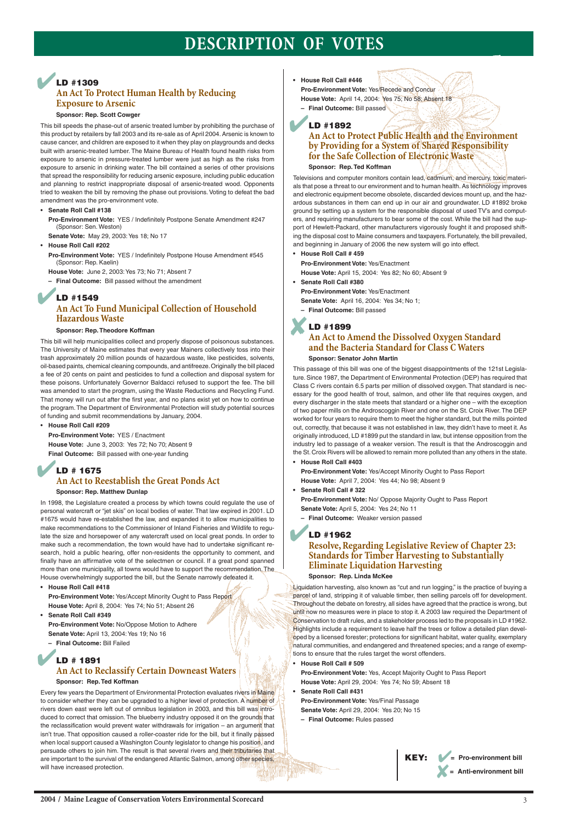# **DESCRIPTION OF VOTES**

#### **Sponsor: Rep. Scott Cowger**

This bill speeds the phase-out of arsenic treated lumber by prohibiting the purchase of this product by retailers by fall 2003 and its re-sale as of April 2004. Arsenic is known to cause cancer, and children are exposed to it when they play on playgrounds and decks built with arsenic-treated lumber. The Maine Bureau of Health found health risks from exposure to arsenic in pressure-treated lumber were just as high as the risks from exposure to arsenic in drinking water. The bill contained a series of other provisions that spread the responsibility for reducing arsenic exposure, including public education and planning to restrict inappropriate disposal of arsenic-treated wood. Opponents tried to weaken the bill by removing the phase out provisions. Voting to defeat the bad amendment was the pro-environment vote.

- **Senate Roll Call #138**
	- **Pro-Environment Vote:** YES / Indefinitely Postpone Senate Amendment #247 (Sponsor: Sen. Weston)

**Senate Vote:** May 29, 2003: Yes 18; No 17

• **House Roll Call #202**

**Pro-Environment Vote:** YES / Indefinitely Postpone House Amendment #545 (Sponsor: Rep. Kaelin)

**House Vote:** June 2, 2003: Yes 73; No 71; Absent 7

**– Final Outcome:** Bill passed without the amendment

#### **Sponsor: Rep. Theodore Koffman**

This bill will help municipalities collect and properly dispose of poisonous substances. The University of Maine estimates that every year Mainers collectively toss into their trash approximately 20 million pounds of hazardous waste, like pesticides, solvents, oil-based paints, chemical cleaning compounds, and antifreeze. Originally the bill placed a fee of 20 cents on paint and pesticides to fund a collection and disposal system for these poisons. Unfortunately Governor Baldacci refused to support the fee. The bill was amended to start the program, using the Waste Reductions and Recycling Fund. That money will run out after the first year, and no plans exist yet on how to continue the program. The Department of Environmental Protection will study potential sources of funding and submit recommendations by January, 2004.

• **House Roll Call #209**

**Pro-Environment Vote:** YES / Enactment **House Vote:** June 3, 2003: Yes 72; No 70; Absent 9 **Final Outcome:** Bill passed with one-year funding

## **Sponsor: Rep. Matthew Dunlap**

In 1998, the Legislature created a process by which towns could regulate the use of personal watercraft or "jet skis" on local bodies of water. That law expired in 2001. LD #1675 would have re-established the law, and expanded it to allow municipalities to make recommendations to the Commissioner of Inland Fisheries and Wildlife to regulate the size and horsepower of any watercraft used on local great ponds. In order to make such a recommendation, the town would have had to undertake significant research, hold a public hearing, offer non-residents the opportunity to comment, and finally have an affirmative vote of the selectmen or council. If a great pond spanned more than one municipality, all towns would have to support the recommendation. The House overwhelmingly supported the bill, but the Senate narrowly defeated it.

**• House Roll Call #418**

**Pro-Environment Vote:** Yes/Accept Minority Ought to Pass Report **House Vote:** April 8, 2004: Yes 74; No 51; Absent 26

- **Senate Roll Call #349**
- 

**Pro-Environment Vote:** No/Oppose Motion to Adhere **Senate Vote:** April 13, 2004: Yes 19; No 16

**– Final Outcome:** Bill Failed

Liquidation harvesting, also known as "cut and run logging," is the practice of buying a parcel of land, stripping it of valuable timber, then selling parcels off for development. Throughout the debate on forestry, all sides have agreed that the practice is wrong, but until now no measures were in place to stop it. A 2003 law required the Department of Conservation to draft rules, and a stakeholder process led to the proposals in LD #1962. Highlights include a requirement to leave half the trees or follow a detailed plan developed by a licensed forester; protections for significant habitat, water quality, exemplary natural communities, and endangered and threatened species; and a range of exemptions to ensure that the rules target the worst offenders.

Every few years the Department of Environmental Protection evaluates rivers in Maine to consider whether they can be upgraded to a higher level of protection. A number of rivers down east were left out of omnibus legislation in 2003, and this bill was introduced to correct that omission. The blueberry industry opposed it on the grounds that the reclassification would prevent water withdrawals for irrigation – an argument that isn't true. That opposition caused a roller-coaster ride for the bill, but it finally passed when local support caused a Washington County legislator to change his position, and persuade others to join him. The result is that several rivers and their tributaries that are important to the survival of the endangered Atlantic Salmon, among other species, will have increased protection.

## **LD #1309 An Act To Protect Human Health by Reducing Exposure to Arsenic** ✔

## **An Act to Protect Public Health and the Environment by Providing for a System of Shared Responsibility for the Safe Collection of Electronic Waste**

**Sponsor: Rep. Ted Koffman**

## **LD #1549 An Act To Fund Municipal Collection of Household Hazardous Waste** ✔

Televisions and computer monitors contain lead, cadmium, and mercury, toxic materials that pose a threat to our environment and to human health. As technology improves and electronic equipment become obsolete, discarded devices mount up, and the hazardous substances in them can end up in our air and groundwater. LD #1892 broke ground by setting up a system for the responsible disposal of used TV's and computers, and requiring manufacturers to bear some of the cost. While the bill had the support of Hewlett-Packard, other manufacturers vigorously fought it and proposed shifting the disposal cost to Maine consumers and taxpayers. Fortunately, the bill prevailed, and beginning in January of 2006 the new system will go into effect.

## **LD # 1675 An Act to Reestablish the Great Ponds Act** ✔

- **House Roll Call # 459**
	- **Pro-Environment Vote:** Yes/Enactment

**House Vote:** April 15, 2004: Yes 82; No 60; Absent 9

**• Senate Roll Call #380**

**Pro-Environment Vote:** Yes/Enactment

- **Senate Vote:** April 16, 2004: Yes 34; No 1;
- **Final Outcome:** Bill passed

## **An Act to Amend the Dissolved Oxygen Standard and the Bacteria Standard for Class C Waters**

**Sponsor: Senator John Martin**

## **LD # 1891 An Act to Reclassify Certain Downeast Waters Sponsor: Rep. Ted Koffman** ✔

This passage of this bill was one of the biggest disappointments of the 121st Legislature. Since 1987, the Department of Environmental Protection (DEP) has required that Class C rivers contain 6.5 parts per million of dissolved oxygen. That standard is necessary for the good health of trout, salmon, and other life that requires oxygen, and every discharger in the state meets that standard or a higher one – with the exception of two paper mills on the Androscoggin River and one on the St. Croix River. The DEP worked for four years to require them to meet the higher standard, but the mills pointed out, correctly, that because it was not established in law, they didn't have to meet it. As originally introduced, LD #1899 put the standard in law, but intense opposition from the industry led to passage of a weaker version. The result is that the Androscoggin and the St. Croix Rivers will be allowed to remain more polluted than any others in the state.

- **House Roll Call #446 Pro-Environment Vote:** Yes/Recede and Concur **House Vote:** April 14, 2004: Yes 75; No 58; Absent 18 **– Final Outcome:** Bill passed
- **LD #1892** ✔

**• House Roll Call #403**

**Pro-Environment Vote:** Yes/Accept Minority Ought to Pass Report **House Vote:** April 7, 2004: Yes 44; No 98; Absent 9

**• Senate Roll Call # 322**

**Pro-Environment Vote:** No/ Oppose Majority Ought to Pass Report

## **LD #1899** ✘

**Senate Vote:** April 5, 2004: Yes 24; No 11

**– Final Outcome:** Weaker version passed

## **Resolve, Regarding Legislative Review of Chapter 23: Standards for Timber Harvesting to Substantially Eliminate Liquidation Harvesting**

**Sponsor: Rep. Linda McKee**

## **LD #1962** ✔

**• House Roll Call # 509**

**Pro-Environment Vote:** Yes, Accept Majority Ought to Pass Report **House Vote:** April 29, 2004: Yes 74; No 59; Absent 18

**• Senate Roll Call #431**

**Pro-Environment Vote:** Yes/Final Passage **Senate Vote:** April 29, 2004: Yes 20; No 15

**– Final Outcome:** Rules passed

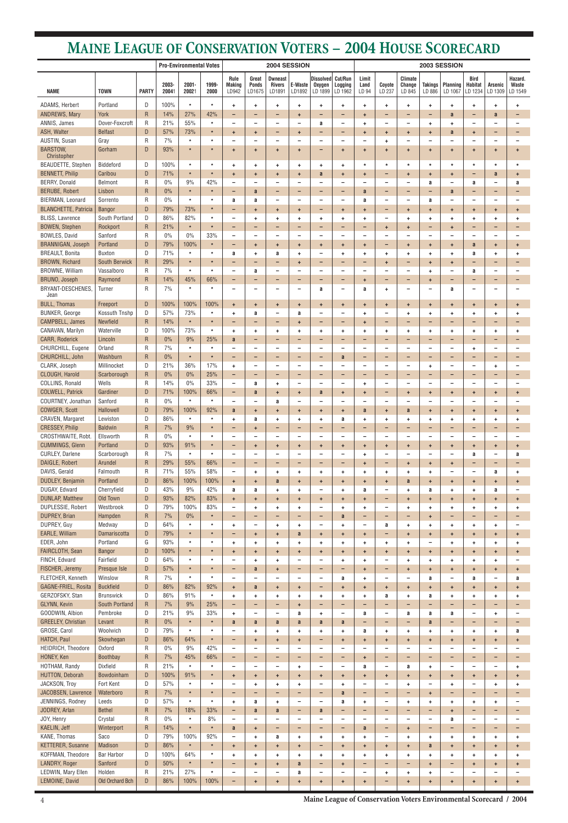**Maine League of Conservation Voters Environmental Scorecard / 2004**

|                                                 |                                |                              |                | <b>Pro-Environmental Votes</b> |                    |                                                      |                                       | 2004 SESSION                                  |                                                      |                                        |                                       | 2003 SESSION                  |                                                  |                                                      |                                       |                                       |                                                      |                                                  |                               |
|-------------------------------------------------|--------------------------------|------------------------------|----------------|--------------------------------|--------------------|------------------------------------------------------|---------------------------------------|-----------------------------------------------|------------------------------------------------------|----------------------------------------|---------------------------------------|-------------------------------|--------------------------------------------------|------------------------------------------------------|---------------------------------------|---------------------------------------|------------------------------------------------------|--------------------------------------------------|-------------------------------|
| <b>NAME</b>                                     | <b>TOWN</b>                    | <b>PARTY</b>                 | 2003-<br>20041 | $2001 -$<br>20021              | 1999-<br>2000      | Rule<br><b>Making</b><br>LD942                       | Great<br><b>Ponds</b><br>LD1675       | <b>Dwneast</b><br>Rivers<br>LD1891            | E-Waste<br>LD1892                                    | Dissolved Cut/Run<br>Oxygen<br>LD 1899 | Logging<br>LD 1962                    | Limit<br>Land<br>LD 94        | Coyote<br>LD 237                                 | Climate<br>Change<br>LD 845                          | <b>Takings</b><br>LD 886              | <b>Planning</b><br>LD 1067            | Bird<br><b>Habitat</b><br>LD 1234                    | <b>Arsenic</b><br>LD 1309                        | Hazard.<br>Waste<br>LD 1549   |
| ADAMS, Herbert                                  | Portland                       | D                            | 100%           | $\star$                        | $\star$            | ÷                                                    | ٠                                     | ٠                                             | $\ddot{}$                                            | ۰.                                     | ٠                                     | ÷                             | $\ddot{}$                                        | $\ddot{}$                                            | ÷                                     | ٠                                     | ÷                                                    | $\ddot{}$                                        | ٠                             |
| <b>ANDREWS, Mary</b>                            | York                           | $\mathsf{R}$                 | 14%            | 27%                            | 42%                | -                                                    | $\overline{\phantom{0}}$              | $\overline{\phantom{0}}$                      | ÷                                                    | -                                      | -                                     | ÷                             | -                                                | -                                                    | -                                     | a                                     | $\qquad \qquad -$                                    | a                                                |                               |
| ANNIS, James                                    | Dover-Foxcroft                 | $\mathsf{R}$                 | 21%            | 55%                            | $\star$            | $\overline{\phantom{0}}$                             | $\qquad \qquad \blacksquare$          | $\overline{\phantom{m}}$                      | $\overline{\phantom{0}}$                             | a                                      | -                                     | ÷                             | $\overline{\phantom{0}}$                         | $\overline{\phantom{m}}$                             | ÷                                     | ÷                                     | $\overline{\phantom{a}}$                             | -                                                |                               |
| ASH, Walter<br>AUSTIN, Susan                    | <b>Belfast</b>                 | D                            | 57%<br>7%      | 73%<br>$\star$                 | $\ast$<br>×        | $\ddot{}$                                            | $+$                                   | -                                             | $\ddot{}$                                            | -                                      | -                                     | $\ddot{}$                     | $\ddot{\phantom{1}}$                             | $\ddot{}$                                            | $\ddot{}$                             | a                                     | $+$                                                  | -                                                | -                             |
| <b>BARSTOW,</b>                                 | Gray<br>Gorham                 | $\mathsf{R}$<br>D            | 93%            | $\star$                        | $\star$            | ÷                                                    | $\overline{\phantom{0}}$<br>$\ddot{}$ | $\ddot{}$                                     | $\ddot{}$                                            | -<br>-                                 | $\overline{\phantom{0}}$<br>$\ddot{}$ | ۰<br>÷                        | ÷.<br>÷                                          | $\qquad \qquad \blacksquare$<br>$\ddot{\phantom{1}}$ | -<br>$\ddot{}$                        | $\ddot{\phantom{1}}$                  | $\overline{\phantom{a}}$<br>$\ddot{}$                | ÷                                                | ÷                             |
| Christopher                                     |                                |                              |                |                                |                    |                                                      |                                       |                                               |                                                      |                                        |                                       |                               |                                                  |                                                      |                                       |                                       |                                                      |                                                  |                               |
| <b>BEAUDETTE, Stephen</b>                       | Biddeford                      | D                            | 100%           | $\star$                        | $\star$            | ÷                                                    | ÷.                                    | $\ddot{}$                                     | $\ddot{}$                                            | ÷.                                     | ÷                                     | $\star$                       | $\star$                                          | $\star$                                              | $\star$                               | $\star$                               | $\star$                                              | $\star$                                          | $\star$                       |
| <b>BENNETT, Philip</b>                          | Caribou                        | D                            | 71%            | $\star$                        | $\star$            | $\ddot{}$                                            | $+$                                   | $\ddot{}$                                     | $\ddot{}$                                            | a                                      | $\ddot{}$                             | $\ddot{}$                     | $\qquad \qquad$                                  | $\ddot{}$                                            | $\ddot{}$                             | $\ddot{}$                             | $\qquad \qquad -$                                    | a                                                | $\ddot{}$                     |
| <b>BERRY, Donald</b><br><b>BERUBE, Robert</b>   | Belmont                        | R                            | $0\%$<br>0%    | 9%<br>$\star$                  | 42%<br>$\star$     | $\overline{\phantom{0}}$<br>$\overline{\phantom{0}}$ | $\qquad \qquad -$                     | $\overline{\phantom{m}}$                      |                                                      | -                                      | $\overline{\phantom{0}}$              | ۰                             | $\qquad \qquad -$                                | $\qquad \qquad -$                                    | a                                     | $\qquad \qquad -$                     | a                                                    | $\overline{\phantom{0}}$                         | a                             |
| BIERMAN, Leonard                                | Lisbon<br>Sorrento             | $\mathsf{R}$<br>$\mathsf{R}$ | $0\%$          | $\star$                        | $\star$            | a                                                    | a<br>a                                | $\qquad \qquad -$<br>$\overline{\phantom{a}}$ | $\overline{\phantom{0}}$<br>$\overline{\phantom{a}}$ | -<br>$\overline{\phantom{0}}$          | -<br>$\overline{\phantom{0}}$         | a<br>a                        | -<br>$\qquad \qquad -$                           | $\qquad \qquad$<br>$\overline{\phantom{m}}$          | -<br>a                                | a<br>$\qquad \qquad -$                | -<br>$\overline{\phantom{a}}$                        | $\qquad \qquad -$<br>$\overline{\phantom{m}}$    | $\overline{\phantom{0}}$      |
| <b>BLANCHETTE, Patricia</b>                     | <b>Bangor</b>                  | D                            | 79%            | 73%                            | $\star$            | $\overline{\phantom{0}}$                             | $\ddot{}$                             | $\ddot{}$                                     | $\ddot{\phantom{1}}$                                 | -                                      | $\ddot{}$                             | $\ddot{}$                     | -                                                | $\pm$                                                | $\ddot{}$                             | $\ddot{}$                             | $\ddot{}$                                            | $\ddot{\phantom{1}}$                             | $\ddot{}$                     |
| <b>BLISS, Lawrence</b>                          | South Portland                 | D                            | 86%            | 82%                            | $\star$            | $\overline{\phantom{0}}$                             | ÷                                     | $\ddot{\phantom{1}}$                          | $\ddot{}$                                            | ÷.                                     | $\ddot{}$                             | ÷                             | $\qquad \qquad -$                                | $\ddot{\phantom{1}}$                                 | ÷                                     | ÷                                     | $\ddot{}$                                            | $\ddot{}$                                        | ÷                             |
| <b>BOWEN, Stephen</b>                           | Rockport                       | $\mathsf R$                  | 21%            | $\star$                        | $\star$            | $\overline{\phantom{0}}$                             | -                                     | $\overline{\phantom{0}}$                      | $\overline{\phantom{0}}$                             | -                                      | -                                     | ۰                             | $\ddot{}$                                        | $\ddot{}$                                            | -                                     | ÷                                     | $\qquad \qquad -$                                    | -                                                | -                             |
| BOWLES, David                                   | Sanford                        | R                            | $0\%$          | $0\%$                          | 33%                | $\overline{\phantom{0}}$                             | $\qquad \qquad -$                     | $\overline{\phantom{m}}$                      | $\qquad \qquad -$                                    | -                                      | $\overline{\phantom{0}}$              | ۰                             | $\qquad \qquad -$                                | $\overline{\phantom{m}}$                             | -                                     | $\overline{\phantom{0}}$              | $\overline{\phantom{a}}$                             | $\overline{\phantom{0}}$                         | $\overline{\phantom{0}}$      |
| <b>BRANNIGAN, Joseph</b>                        | Portland                       | D                            | 79%            | 100%                           | $\star$            | -                                                    | $+$                                   | $\ddot{}$                                     | $\ddot{}$                                            | $+$                                    | $\ddot{}$                             | $\ddot{}$                     | $\qquad \qquad -$                                | $\pm$                                                | ÷                                     | $\ddot{}$                             | a                                                    | $\ddot{}$                                        | $\ddot{}$                     |
| <b>BREAULT, Bonita</b><br><b>BROWN, Richard</b> | Buxton<br><b>South Berwick</b> | D<br>$\mathsf R$             | 71%<br>29%     | $\star$<br>$\star$             | $\star$<br>$\star$ | a<br>-                                               | ÷<br>-                                | a<br>-                                        | $\ddot{}$<br>$+$                                     | -<br>-                                 | ÷<br>-                                | ÷<br>-                        | $\ddot{}$<br>$\ddot{\phantom{1}}$                | $\ddot{}$<br>$\qquad \qquad -$                       | ÷<br>$\ddot{}$                        | ÷<br>$\ddot{}$                        | a<br>-                                               | $\ddot{}$<br>$\qquad \qquad -$                   | ÷<br>$\overline{\phantom{0}}$ |
| <b>BROWNE, William</b>                          | Vassalboro                     | R                            | 7%             | $\star$                        | $\star$            | $\overline{\phantom{m}}$                             | a                                     | $\overline{\phantom{a}}$                      | $\overline{\phantom{a}}$                             | -                                      | -                                     | $\overline{\phantom{0}}$      | $\overline{\phantom{m}}$                         | $\overline{\phantom{m}}$                             | ÷                                     | $\qquad \qquad -$                     | a                                                    | $\overline{\phantom{m}}$                         |                               |
| BRUNO, Joseph                                   | Raymond                        | $\overline{R}$               | 14%            | 45%                            | 66%                | $\overline{\phantom{0}}$                             | $\overline{\phantom{0}}$              | $\overline{\phantom{0}}$                      | $\overline{\phantom{0}}$                             | $\overline{\phantom{0}}$               | -                                     | $\ddot{}$                     | $\overline{\phantom{0}}$                         | $\qquad \qquad$                                      | $\ddot{}$                             | $\overline{\phantom{0}}$              | $\qquad \qquad -$                                    | $\overline{\phantom{0}}$                         |                               |
| BRYANT-DESCHENES,                               | Turner                         | R                            | 7%             | $\star$                        | $\star$            | $\overline{\phantom{0}}$                             | ۰                                     | $\overline{\phantom{0}}$                      |                                                      | a                                      | $\overline{\phantom{0}}$              | a                             | ÷.                                               | $\overline{\phantom{0}}$                             | -                                     | a                                     | $\overline{\phantom{m}}$                             |                                                  |                               |
| Jean                                            |                                |                              |                |                                |                    |                                                      |                                       |                                               |                                                      |                                        |                                       |                               |                                                  |                                                      |                                       |                                       |                                                      |                                                  |                               |
| <b>BULL, Thomas</b><br><b>BUNKER, George</b>    | Freeport<br>Kossuth Tnshp      | D<br>D                       | 100%<br>57%    | 100%<br>73%                    | 100%<br>$\star$    | $\ddot{}$<br>÷                                       | $\ddot{}$<br>a                        | $\ddot{}$<br>$\overline{\phantom{m}}$         | $\pm$<br>a                                           | $\ddot{}$<br>$\overline{\phantom{0}}$  | $\ddot{}$<br>$\overline{\phantom{0}}$ | $\ddot{}$<br>÷                | $\ddot{\phantom{1}}$<br>$\overline{\phantom{m}}$ | $\ddot{}$<br>$\ddot{}$                               | $\ddot{}$<br>÷                        | $\ddot{}$<br>÷                        | $\ddot{}$<br>$\ddot{}$                               | $\ddot{\phantom{1}}$<br>÷.                       | $\ddot{}$<br>÷                |
| CAMPBELL, James                                 | <b>Newfield</b>                | $\overline{R}$               | 14%            | $\star$                        | $\star$            | -                                                    | -                                     | -                                             | $\ddot{}$                                            | -                                      | -                                     | ÷                             | -                                                | -                                                    | -                                     | $\overline{\phantom{0}}$              | -                                                    | -                                                |                               |
| CANAVAN, Marilyn                                | Waterville                     | D                            | 100%           | 73%                            | $\star$            | ÷                                                    | ÷                                     | $+$                                           | $\ddot{}$                                            | ÷.                                     | ٠                                     | ÷                             | $\ddot{}$                                        | $\ddot{}$                                            | ÷                                     | ÷                                     | ÷                                                    | $\ddot{}$                                        | ÷                             |
| <b>CARR, Roderick</b>                           | Lincoln                        | $\mathsf{R}$                 | $0\%$          | 9%                             | 25%                | a                                                    | -                                     | $\qquad \qquad -$                             | $\overline{\phantom{0}}$                             | -                                      | -                                     | -                             | -                                                | $\qquad \qquad -$                                    | -                                     | -                                     | -                                                    | -                                                |                               |
| CHURCHILL, Eugene                               | Orland                         | R                            | 7%             | $\star$                        | $\star$            | $\overline{\phantom{0}}$                             | $\overline{\phantom{m}}$              | $\overline{\phantom{m}}$                      | $\overline{\phantom{0}}$                             | $\overline{\phantom{0}}$               | $\overline{\phantom{0}}$              | ۰                             | $\overline{\phantom{0}}$                         | $\overline{\phantom{m}}$                             | $\overline{\phantom{0}}$              | $\overline{\phantom{0}}$              | $\ddot{}$                                            | $\overline{\phantom{a}}$                         |                               |
| CHURCHILL, John                                 | Washburn                       | $\mathsf{R}$                 | 0%             | $\star$                        | $\star$            | -                                                    | -                                     | -                                             | $\overline{\phantom{0}}$                             | -                                      | a                                     | -                             | -                                                | -                                                    | -                                     | $\overline{\phantom{0}}$              | $\overline{\phantom{0}}$                             | -                                                |                               |
| CLARK, Joseph                                   | Millinocket<br>Scarborough     | D                            | 21%            | 36%                            | 17%                | ÷                                                    | $\overline{\phantom{0}}$              | $\overline{\phantom{0}}$                      | $\qquad \qquad$                                      | $\overline{\phantom{0}}$               | $\overline{\phantom{0}}$              | $\overline{\phantom{0}}$      | $\overline{\phantom{0}}$                         | $\overline{\phantom{0}}$                             | ÷                                     | $\overline{\phantom{0}}$              | $\overline{\phantom{a}}$                             | ÷                                                |                               |
| CLOUGH, Harold<br>COLLINS, Ronald               | Wells                          | $\overline{R}$<br>R          | 0%<br>14%      | 0%<br>0%                       | 25%<br>33%         | -<br>$\qquad \qquad -$                               | ۰<br>a                                | -<br>$\ddot{\phantom{1}}$                     | $\overline{\phantom{0}}$                             | -<br>$\overline{\phantom{0}}$          | -<br>-                                | ۰<br>÷                        | $\overline{\phantom{0}}$                         | -<br>$\overline{\phantom{a}}$                        | -<br>$\overline{\phantom{0}}$         | $\overline{\phantom{0}}$              | $\overline{\phantom{0}}$<br>$\overline{\phantom{a}}$ | $\overline{\phantom{0}}$                         |                               |
| <b>COLWELL, Patrick</b>                         | Gardiner                       | D                            | 71%            | 100%                           | 66%                | -                                                    | a                                     | $\ddot{}$                                     | $\ddot{\phantom{1}}$                                 | a                                      | $\ddot{}$                             | ÷                             | -                                                | $\ddot{}$                                            | $\ddot{}$                             | $\ddot{}$                             | $\ddot{}$                                            | $\ddot{}$                                        | ÷                             |
| COURTNEY, Jonathan                              | Sanford                        | $\mathsf{R}$                 | $0\%$          | $\star$                        | $\star$            | $\overline{\phantom{0}}$                             | $\qquad \qquad -$                     | a                                             | $\overline{\phantom{0}}$                             | -                                      | -                                     | $\overline{\phantom{0}}$      | $\qquad \qquad$                                  | $\overline{\phantom{a}}$                             | -                                     | $\overline{\phantom{0}}$              | $\overline{\phantom{a}}$                             | $\overline{\phantom{0}}$                         |                               |
| COWGER, Scott                                   | Hallowell                      | D                            | 79%            | 100%                           | 92%                | a                                                    | $+$                                   | $\ddot{}$                                     | $\pm$                                                | $\ddot{}$                              | $\ddot{}$                             | a                             | $\ddot{\phantom{1}}$                             | a                                                    | $\ddot{}$                             | $+$                                   | $+$                                                  | $\ddot{}$                                        | $\ddot{}$                     |
| CRAVEN, Margaret                                | Lewiston                       | D                            | 86%            | $\star$                        | $\star$            | $\ddot{}$                                            | a                                     | $\ddot{}$                                     | $\ddot{}$                                            | ÷.                                     | a                                     | $\ddot{}$                     | $\ddot{}$                                        | $\ddot{\phantom{1}}$                                 | ÷                                     | ÷                                     | $\ddot{}$                                            | $\ddot{}$                                        | ٠                             |
| <b>CRESSEY, Philip</b>                          | <b>Baldwin</b>                 | $\mathsf{R}$                 | 7%             | 9%<br>$\star$                  | $\star$<br>$\star$ | -                                                    | $\ddot{}$                             | $\qquad \qquad -$                             | $\overline{\phantom{0}}$                             | -                                      | -                                     | ۰                             | -                                                | -                                                    | -                                     | $\overline{\phantom{0}}$              | $\qquad \qquad -$                                    | -                                                | $\overline{\phantom{0}}$      |
| CROSTHWAITE, Robt.<br><b>CUMMINGS, Glenn</b>    | Ellsworth<br>Portland          | $\mathsf{R}$<br>D            | $0\%$<br>93%   | 91%                            | $\star$            | $\overline{\phantom{0}}$<br>-                        | $\overline{\phantom{0}}$<br>$\ddot{}$ | $\overline{\phantom{a}}$<br>$\ddot{}$         | $\overline{\phantom{0}}$<br>$\pm$                    | $\overline{\phantom{0}}$<br>$\ddot{}$  | $\overline{\phantom{0}}$<br>$\ddot{}$ | ۰<br>$\ddot{}$                | $\overline{\phantom{0}}$<br>$\ddot{\phantom{1}}$ | $\overline{\phantom{a}}$<br>$\ddot{}$                | $\overline{\phantom{0}}$<br>$\ddot{}$ | $\overline{\phantom{0}}$<br>$\ddot{}$ | $\overline{\phantom{m}}$<br>$\ddot{}$                | $\overline{\phantom{a}}$<br>$\ddot{\phantom{1}}$ | $\ddot{}$                     |
| <b>CURLEY, Darlene</b>                          | Scarborough                    | R                            | 7%             | $\star$                        | $\star$            | $\overline{\phantom{0}}$                             | $\overline{\phantom{0}}$              | $\qquad \qquad -$                             | $\overline{\phantom{0}}$                             | $\overline{\phantom{0}}$               | $\overline{\phantom{0}}$              | $\ddot{}$                     | $\overline{\phantom{0}}$                         | $\overline{\phantom{a}}$                             | $\overline{\phantom{0}}$              | $\overline{\phantom{0}}$              | a                                                    | $\overline{\phantom{m}}$                         | a                             |
| DAIGLE, Robert                                  | Arundel                        | $\mathsf{R}$                 | 29%            | 55%                            | 66%                | -                                                    | -                                     | -                                             | $\overline{\phantom{0}}$                             | -                                      | -                                     | ÷                             | -                                                | $\ddot{}$                                            | $\ddot{}$                             | ÷                                     | -                                                    | $\overline{\phantom{0}}$                         |                               |
| DAVIS, Gerald                                   | Falmouth                       | $\mathsf{R}$                 | 71%            | 55%                            | 58%                | $\qquad \qquad -$                                    | ÷                                     | ٠                                             | $\ddot{}$                                            | ÷.                                     | ٠                                     | ÷                             | $\ddot{}$                                        | $\ddot{}$                                            | ÷                                     | $\overline{\phantom{0}}$              | $\overline{\phantom{a}}$                             | a                                                | ÷                             |
| <b>DUDLEY, Benjamin</b>                         | Portland                       | D                            | 86%            | 100%                           | 100%               | $\ddot{}$                                            | $+$                                   | a                                             | $\ddot{\phantom{1}}$                                 | $\ddot{}$                              | $\ddot{}$                             | $\ddot{}$                     | $\ddot{\phantom{1}}$                             | a                                                    | $\ddot{}$                             | $+$                                   | $+$                                                  | $\ddot{\phantom{1}}$                             | $\ddot{\phantom{1}}$          |
| DUGAY, Edward                                   | Cherryfield                    | D                            | 43%            | 9%                             | 42%                | a                                                    | a                                     | $\ddot{}$                                     | $\ddot{}$                                            | $\overline{\phantom{0}}$               | $\ddot{}$                             | a                             | $\qquad \qquad -$                                | $\ddot{\phantom{1}}$                                 | a                                     | ÷                                     | $\ddot{}$                                            | a                                                |                               |
| <b>DUNLAP, Matthew</b><br>DUPLESSIE, Robert     | Old Town<br>Westbrook          | D<br>D                       | 93%<br>79%     | 82%<br>100%                    | 83%<br>83%         | $\ddot{}$<br>$\overline{\phantom{0}}$                | $\ddot{}$<br>$\ddot{}$                | ÷<br>$\ddot{}$                                | $\ddot{\phantom{1}}$<br>$\ddot{\phantom{1}}$         | $\ddot{}$<br>$\overline{\phantom{0}}$  | $\ddot{}$<br>$\ddot{}$                | $\ddot{}$<br>÷                | -<br>$\qquad \qquad -$                           | $\ddot{}$<br>$\ddot{}$                               | $\ddot{}$<br>÷                        | $\ddot{}$<br>÷                        | ÷<br>$\ddot{}$                                       | $\ddot{\phantom{1}}$<br>$\ddot{\phantom{1}}$     | $\ddot{}$<br>÷                |
| <b>DUPREY, Brian</b>                            | Hampden                        | $\overline{R}$               | 7%             | $0\%$                          | $\star$            | -                                                    | -                                     | $\overline{\phantom{a}}$                      | $\overline{\phantom{a}}$                             | -                                      | a                                     | -                             | $\overline{\phantom{a}}$                         | $\overline{\phantom{m}}$                             | $\ddot{}$                             | -                                     | $\qquad \qquad -$                                    | $\overline{\phantom{0}}$                         | $\overline{\phantom{a}}$      |
| DUPREY, Guy                                     | Medway                         | D                            | 64%            | $\star$                        | $\star$            | $\ddot{}$                                            | $\qquad \qquad -$                     | $\ddot{\phantom{1}}$                          | $\ddot{\phantom{1}}$                                 | -                                      | $\ddot{}$                             | ۰                             | a                                                | $\ddot{}$                                            | $\ddot{}$                             | $\ddot{}$                             | $\ddot{}$                                            | $\ddot{\phantom{1}}$                             |                               |
| EARLE, William                                  | Damariscotta                   | D                            | 79%            | $\star$                        | $\star$            | $\overline{\phantom{0}}$                             | $\ddot{}$                             | $\ddot{}$                                     | a                                                    | $\ddot{}$                              | $\ddot{}$                             | $\ddot{}$                     | -                                                | $\ddot{\phantom{1}}$                                 | $\ddot{}$                             | $\ddot{}$                             | $\ddot{}$                                            | $\ddot{}$                                        | ÷                             |
| EDER, John                                      | Portland                       | G                            | 93%            | $\star$                        | $\star$            | ÷                                                    | ÷                                     | $\ddot{}$                                     | $\ddot{}$                                            | $\ddot{}$                              | ٠                                     | ÷                             | $\ddot{}$                                        | $\ddot{}$                                            | $\overline{\phantom{0}}$              | ÷                                     | $\ddot{}$                                            | $\ddot{}$                                        | ÷                             |
| FAIRCLOTH, Sean                                 | <b>Bangor</b>                  | D                            | 100%           | $\star$                        | $\star$            | $\ddot{}$                                            | $+$                                   | $\ddot{}$                                     | $\pm$                                                | $\ddot{}$                              | $\ddot{}$                             | $\ddot{}$                     | $\ddot{\phantom{1}}$                             | $\ddot{}$                                            | $\ddot{}$                             | $\ddot{}$                             | $\ddot{}$                                            | $\ddot{}$                                        | $\ddot{}$                     |
| FINCH, Edward<br>FISCHER, Jeremy                | Fairfield<br>Presque Isle      | D<br>D                       | 64%<br>57%     | $\star$<br>$\star$             | $\star$<br>$\star$ | $\overline{\phantom{0}}$<br>-                        | ÷<br>a                                | $\ddot{}$                                     | $\overline{\phantom{0}}$<br>$\overline{\phantom{0}}$ | $\overline{\phantom{0}}$<br>-          | $\ddot{}$<br>-                        | $\ddot{}$<br>$\ddot{}$        | $\qquad \qquad -$<br>$\qquad \qquad -$           | $\ddot{\phantom{1}}$                                 | ÷<br>$\ddot{}$                        | ÷<br>$\ddot{}$                        | $\ddot{}$<br>$\ddot{}$                               | $\ddot{\phantom{1}}$<br>$\ddot{\phantom{1}}$     | $\ddot{\phantom{1}}$          |
| FLETCHER, Kenneth                               | Winslow                        | $\mathsf{R}$                 | 7%             | $\star$                        | $\star$            | $\overline{\phantom{0}}$                             | $\overline{\phantom{0}}$              | ÷<br>$\overline{\phantom{m}}$                 | $\overline{\phantom{0}}$                             | $\overline{\phantom{0}}$               | a                                     | ÷                             | $\qquad \qquad -$                                | $\ddot{}$<br>$\overline{\phantom{m}}$                | a                                     | $\overline{\phantom{a}}$              | a                                                    | $\overline{\phantom{m}}$                         | a                             |
| GAGNE-FRIEL, Rosita                             | <b>Buckfield</b>               | D                            | 86%            | 82%                            | 92%                | $\ddot{}$                                            | a                                     | $\ddot{}$                                     | $\pm$                                                | -                                      | $\ddot{}$                             | $\ddot{}$                     | $\ddot{\phantom{1}}$                             | $\ddot{\phantom{1}}$                                 | $\ddot{}$                             | $\ddot{}$                             | $\ddot{}$                                            | $\ddot{\phantom{1}}$                             | $\ddot{\phantom{1}}$          |
| GERZOFSKY, Stan                                 | <b>Brunswick</b>               | D                            | 86%            | 91%                            | $\star$            | ÷                                                    | ÷                                     | $\ddot{}$                                     | $\ddot{}$                                            | ÷.                                     | $\ddot{}$                             | ÷                             | a                                                | $\ddot{\phantom{1}}$                                 | a                                     | ÷                                     | $\ddot{}$                                            | $\ddot{\phantom{1}}$                             | ÷                             |
| GLYNN, Kevin                                    | <b>South Portland</b>          | $\overline{R}$               | 7%             | 9%                             | 25%                | -                                                    | -                                     | $\overline{\phantom{0}}$                      | $\ddot{\phantom{1}}$                                 | -                                      | -                                     | ۰                             | -                                                | $\qquad \qquad$                                      | $\overline{\phantom{0}}$              | $\overline{\phantom{0}}$              | -                                                    | $\qquad \qquad -$                                |                               |
| GOODWIN, Albion                                 | Pembroke                       | D                            | 21%            | 9%                             | 33%                | ÷                                                    | $\qquad \qquad -$                     | $\overline{\phantom{a}}$                      | a                                                    | $\ddot{}$                              | $\overline{\phantom{0}}$              | a                             | $\overline{\phantom{0}}$                         | a                                                    | a                                     | a                                     | $\overline{\phantom{a}}$                             | $\ddot{}$                                        |                               |
| <b>GREELEY, Christian</b><br>GROSE, Carol       | Levant<br>Woolwich             | $\mathsf{R}$<br>D            | $0\%$<br>79%   | $\star$<br>$\star$             | $\star$<br>$\star$ | a                                                    | a<br>$\ddot{}$                        | a<br>$\ddot{}$                                | a<br>$\ddot{}$                                       | a<br>÷.                                | a<br>$\ddot{}$                        | -<br>a                        | -<br>$\ddot{\phantom{1}}$                        | $\qquad \qquad -$<br>$\ddot{}$                       | a<br>÷                                | -<br>$\ddot{}$                        | -<br>$\ddot{}$                                       | -<br>$\ddot{\phantom{1}}$                        | -<br>a                        |
| HATCH, Paul                                     | Skowhegan                      | D                            | 86%            | 64%                            | $\star$            | -                                                    | $\ddot{}$                             | ÷                                             | $\ddot{\phantom{1}}$                                 | -                                      | $\ddot{}$                             | $\ddot{}$                     | $\ddot{}$                                        | $\pm$                                                | $\ddot{}$                             | $\ddot{}$                             | ÷                                                    | $\ddot{}$                                        | ÷                             |
| HEIDRICH, Theodore                              | Oxford                         | $\mathsf{R}$                 | $0\%$          | 9%                             | 42%                | $\qquad \qquad -$                                    | $\qquad \qquad -$                     | $\overline{\phantom{m}}$                      | $\overline{\phantom{0}}$                             | $\overline{\phantom{0}}$               | -                                     | ۰                             | $\overline{\phantom{0}}$                         | $\overline{\phantom{a}}$                             | -                                     | $\overline{\phantom{0}}$              | $\overline{\phantom{a}}$                             | $\overline{\phantom{0}}$                         |                               |
| HONEY, Ken                                      | Boothbay                       | $\overline{R}$               | 7%             | 45%                            | 66%                | -                                                    | -                                     | $\qquad \qquad -$                             | $\overline{\phantom{a}}$                             | -                                      | $\qquad \qquad -$                     | $\ddot{}$                     | -                                                | $\qquad \qquad -$                                    | -                                     | -                                     | -                                                    | $\qquad \qquad -$                                |                               |
| HOTHAM, Randy                                   | Dixfield                       | R                            | 21%            | $\star$                        | $\star$            | $\overline{\phantom{0}}$                             | $\qquad \qquad -$                     | $\overline{\phantom{m}}$                      | $\ddot{}$                                            | -                                      | -                                     | a                             | $\qquad \qquad -$                                | a                                                    | ÷                                     | $\overline{\phantom{0}}$              | $\overline{\phantom{m}}$                             | $\overline{\phantom{m}}$                         | ÷                             |
| <b>HUTTON, Deborah</b>                          | Bowdoinham                     | D                            | 100%           | 91%                            | $\ast$             | $\ddot{}$                                            | $+$                                   | $\ddot{}$                                     | $\ddot{\phantom{1}}$                                 | ÷                                      | ÷                                     | ÷                             | $\ddot{}$                                        | ÷                                                    | $\ddot{}$                             | $\ddot{}$                             | $\ddot{}$                                            | ÷                                                |                               |
| JACKSON, Troy<br>JACOBSEN, Lawrence             | Fort Kent<br>Waterboro         | D<br>$\mathsf{R}$            | 57%<br>7%      | $\star$                        | $\star$            | $\overline{\phantom{0}}$<br>-                        | ÷<br>-                                | ÷<br>-                                        | $\ddot{}$<br>-                                       | -<br>-                                 | ÷<br>a                                | $\overline{\phantom{0}}$<br>- | $\overline{\phantom{0}}$<br>-                    | ÷<br>$\qquad \qquad -$                               | $\qquad \qquad -$                     | ÷<br>-                                | $\overline{\phantom{a}}$<br>-                        | ÷<br>-                                           | $\ddot{}$<br>-                |
| JENNINGS, Rodney                                | Leeds                          | D                            | 57%            | $\star$                        | $\star$            | $\ddot{}$                                            | a                                     | $\ddot{}$                                     | $\overline{\phantom{m}}$                             | -                                      | a                                     | $\ddot{}$                     | $\qquad \qquad -$                                | $\ddot{}$                                            | $\ddot{}$<br>÷                        | ÷.                                    | $\ddot{}$                                            | ÷                                                |                               |
| JODREY, Arlan                                   | Bethel                         | ${\sf R}$                    | 7%             | 18%                            | 33%                | -                                                    | a                                     | a                                             | -                                                    | a                                      | -                                     | ٠                             | -                                                | -                                                    | -                                     | $\ddot{}$                             | -                                                    | -                                                |                               |
| JOY, Henry                                      | Crystal                        | $\mathsf R$                  | $0\%$          | $\star$                        | 8%                 | $\qquad \qquad -$                                    | $\qquad \qquad -$                     | $\overline{\phantom{a}}$                      | $\overline{\phantom{0}}$                             | -                                      | $\qquad \qquad -$                     | ۰                             | $\qquad \qquad -$                                | $\overline{\phantom{m}}$                             | $\overline{\phantom{a}}$              | a                                     | $\overline{\phantom{a}}$                             | -                                                |                               |
| KAELIN, Jeff                                    | Winterport                     | $\mathsf R$                  | 14%            | $\star$                        | $\star$            | a                                                    | $\ddot{}$                             | ٠                                             | -                                                    | -                                      | -                                     | a                             | -                                                | $\pm$                                                | -                                     | -                                     | $-$                                                  | $\qquad \qquad -$                                |                               |
| KANE, Thomas                                    | Saco                           | D                            | 79%            | 100%                           | 92%                |                                                      | $\ddot{}$                             | a                                             | $\ddot{\phantom{1}}$                                 | $\ddot{}$                              | $\ddot{}$                             | ÷                             | $\qquad \qquad -$                                | $\ddot{\phantom{1}}$                                 | $\ddot{}$                             | $\ddot{}$                             | $\ddot{}$                                            | $\ddot{\phantom{1}}$                             | ÷                             |
| <b>KETTERER, Susanne</b>                        | Madison                        | $\mathsf D$                  | 86%            | $\star$                        | $\star$            | ÷                                                    | ÷                                     | ÷                                             | $\ddot{}$                                            | -                                      | $\ddot{}$                             | ÷                             | $\ddot{}$                                        | $\pm$                                                | a                                     | $\ddot{}$                             | $\ddot{}$                                            | ÷                                                | $\ddot{\phantom{1}}$          |
| KOFFMAN, Theodore<br>LANDRY, Roger              | <b>Bar Harbor</b><br>Sanford   | D<br>D                       | 100%<br>50%    | 64%<br>$\star$                 | $\star$<br>$\star$ | ÷<br>-                                               | ٠<br>$+$                              | $\ddot{}$<br>$\ddot{}$                        | $\ddot{}$<br>a                                       | ÷<br>-                                 | ٠<br>$\ddot{}$                        | ÷<br>-                        | $\ddot{}$<br>-                                   | $\ddot{}$<br>$\qquad \qquad -$                       | ÷.<br>$\ddot{}$                       | ÷<br>-                                | $\ddot{}$<br>$+$                                     | $\ddot{}$<br>$\ddot{}$                           | $\ddot{}$<br>$\ddot{}$        |
| LEDWIN, Mary Ellen                              | Holden                         | $\mathsf R$                  | 21%            | 27%                            | $\star$            | $\overline{\phantom{0}}$                             | $\qquad \qquad -$                     | $\overline{\phantom{m}}$                      | a                                                    | -                                      | -                                     | ۰                             | $\ddot{}$                                        | $\ddot{}$                                            | ÷                                     | $\qquad \qquad -$                     | $\overline{\phantom{m}}$                             | -                                                |                               |
| LEMOINE, David                                  | Old Orchard Bch                | D                            | 86%            | 100%                           | 100%               | -                                                    | ÷                                     | ÷                                             | $\ddot{}$                                            | $\pm$                                  | $\ddot{}$                             | ÷                             | -                                                | $\pm$                                                | ÷                                     | ÷                                     | $\pm$                                                | $\ddot{}$                                        | $\ddot{}$                     |
|                                                 |                                |                              |                |                                |                    |                                                      |                                       |                                               |                                                      |                                        |                                       |                               |                                                  |                                                      |                                       |                                       |                                                      |                                                  |                               |

# **MAINE LEAGUE OF CONSERVATION VOTERS – 2004 HOUSE SCORECARD**

4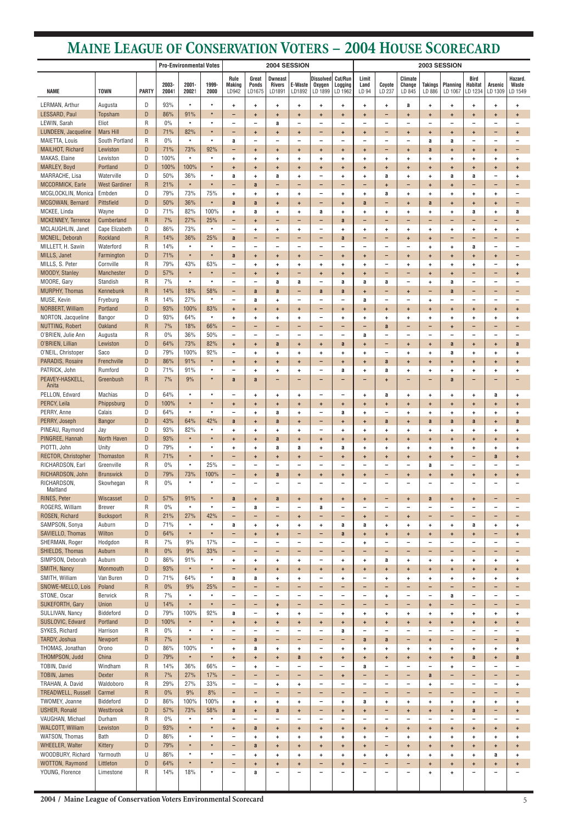**2004 / Maine League of Conservation Voters Environmental Scorecard**

|                                            |                              |                           |                | <b>Pro-Environmental Votes</b> |                         |                                |                                           | 2004 SESSION                              |                               |                                       |                                | 2003 SESSION                   |                                             |                                                  |                                       |                               |                                                      |                                       |                               |
|--------------------------------------------|------------------------------|---------------------------|----------------|--------------------------------|-------------------------|--------------------------------|-------------------------------------------|-------------------------------------------|-------------------------------|---------------------------------------|--------------------------------|--------------------------------|---------------------------------------------|--------------------------------------------------|---------------------------------------|-------------------------------|------------------------------------------------------|---------------------------------------|-------------------------------|
| <b>NAME</b>                                | <b>TOWN</b>                  | <b>PARTY</b>              | 2003-<br>20041 | $2001 -$<br>20021              | 1999-<br>2000           | Rule<br><b>Making</b><br>LD942 | Great<br><b>Ponds</b><br>LD1675           | <b>Dwneast</b><br><b>Rivers</b><br>LD1891 | E-Waste<br>LD1892             | <b>Dissolved</b><br>Oxygen<br>LD 1899 | Cut/Run<br>Logging<br>LD 1962  | Limit<br>Land<br>LD 94         | Coyote<br>LD 237                            | <b>Climate</b><br>Change<br>LD 845               | <b>Takings</b><br>LD 886              | Planning<br>LD 1067           | Bird<br><b>Habitat</b><br>LD 1234                    | Arsenic<br>LD 1309                    | Hazard.<br>Waste<br>LD 1549   |
| LERMAN, Arthur                             | Augusta                      | D                         | 93%            | $\star$                        | $\star$                 | ÷.                             | $\ddot{\phantom{1}}$                      | $\ddot{}$                                 | $\ddot{}$                     | ÷                                     | ٠                              | $\ddot{}$                      | ÷.                                          | a                                                | ٠                                     | ÷                             | ÷                                                    | $\ddot{}$                             | ÷                             |
| LESSARD, Paul                              | Topsham                      | D                         | 86%            | 91%                            | $\pmb{\ast}$            |                                | $\ddot{}$                                 | $\ddot{}$                                 | ÷                             | ÷                                     | ÷                              | $\ddot{}$                      | $\overline{\phantom{0}}$                    | $\ddot{}$                                        | ÷                                     | ÷                             | $\ddot{}$                                            | $\ddot{}$                             | ÷                             |
| LEWIN, Sarah                               | Eliot                        | $\mathsf{R}$              | $0\%$          | $\star$                        | $\star$                 |                                | $\overline{\phantom{m}}$                  | a                                         | -                             | $\overline{\phantom{0}}$              | $\qquad \qquad -$              | $\overline{\phantom{0}}$       | $\overline{\phantom{0}}$                    | -                                                | $\overline{\phantom{0}}$              | ۰                             | $\qquad \qquad -$                                    | $\overline{\phantom{0}}$              |                               |
| LUNDEEN, Jacqueline                        | <b>Mars Hill</b>             | D                         | 71%            | 82%                            | $\pmb{\ast}$            | -                              | $+$                                       | $\ddot{}$                                 | ÷                             | -                                     | $\ddot{}$                      | $\ddot{}$                      | $\overline{\phantom{0}}$                    | $\ddot{}$                                        | $\ddot{}$                             | $+$                           | $+$                                                  | -                                     | $\ddot{}$                     |
| MAIETTA, Louis<br><b>MAILHOT, Richard</b>  | South Portland<br>Lewiston   | ${\sf R}$<br>D            | 0%<br>71%      | $\star$                        | $\star$<br>92%          | a                              | $\overline{\phantom{a}}$                  | $\overline{\phantom{m}}$                  |                               | $\overline{\phantom{0}}$              | ۰                              | ۰                              |                                             | -                                                | a                                     | a                             | $\qquad \qquad -$                                    | $\overline{\phantom{0}}$              |                               |
| MAKAS, Elaine                              | Lewiston                     | D                         | 100%           | 73%<br>$\star$                 | $\star$                 | -<br>÷.                        | $+$<br>$\ddot{}$                          | $\ddot{}$<br>$\ddot{}$                    | $\ddot{}$<br>$\ddot{}$        | $\ddot{}$<br>$\ddot{}$                | $\ddot{}$<br>٠                 | $\ddot{\phantom{1}}$<br>÷      | $\overline{\phantom{0}}$<br>$\ddot{}$       | $\ddot{}$<br>$\ddot{}$                           | a<br>÷                                | ÷<br>÷                        | $\ddot{}$<br>٠                                       | $\ddot{}$<br>$\ddot{\phantom{1}}$     | $\qquad \qquad -$<br>٠        |
| MARLEY, Boyd                               | Portland                     | D                         | 100%           | 100%                           | $\pmb{\ast}$            | $\ddot{}$                      | $+$                                       | $\ddot{\phantom{1}}$                      | $\ddot{}$                     | $\ddot{}$                             | $\ddot{}$                      | $\ddot{}$                      | $+$                                         | $\pm$                                            | $\ddot{}$                             | $\ddot{}$                     | $\ddot{}$                                            | $\ddot{}$                             | $\ddot{}$                     |
| MARRACHE, Lisa                             | Waterville                   | D                         | 50%            | 36%                            | $\star$                 | a                              | $\ddot{}$                                 | a                                         | ÷                             | $\overline{\phantom{0}}$              | ٠                              | ÷                              | a                                           | $\ddot{}$                                        | ٠                                     | a                             | a                                                    | $\overline{\phantom{a}}$              | ÷                             |
| MCCORMICK, Earle                           | <b>West Gardiner</b>         | $\mathsf{R}$              | 21%            | $\star$                        | $\star$                 |                                | a                                         | $\overline{\phantom{0}}$                  |                               | -                                     | $\overline{\phantom{0}}$       | $\overline{\phantom{0}}$       | $\ddot{}$                                   | -                                                | ÷                                     | ÷                             | $\qquad \qquad -$                                    | $\qquad \qquad -$                     |                               |
| MCGLOCKLIN, Monica                         | Embden                       | D                         | 79%            | 73%                            | 75%                     | ÷.                             | $\ddot{}$                                 | $\ddot{}$                                 | $\ddot{}$                     | $\overline{\phantom{0}}$              | ٠                              | ÷                              | a                                           | $\ddot{}$                                        | ٠                                     | ٠                             | ÷                                                    | $\ddot{}$                             |                               |
| MCGOWAN, Bernard                           | Pittsfield                   | D                         | 50%            | 36%                            | $\star$                 | a                              | a                                         | $\ddot{}$                                 | ÷                             | -                                     | $\ddot{}$                      | a                              | $\overline{\phantom{0}}$                    | $\ddot{}$                                        | a                                     | $\ddot{}$                     | $+$                                                  | $\ddot{}$                             | $\overline{\phantom{0}}$      |
| MCKEE, Linda                               | Wayne                        | D                         | 71%            | 82%                            | 100%                    | ÷.                             | a                                         | $\ddot{}$                                 | $\ddot{}$                     | a                                     | ٠                              | $\ddot{\phantom{1}}$           | $\ddot{}$                                   | $\ddot{}$                                        | ٠                                     | ٠                             | a                                                    | $\ddot{}$                             | a                             |
| MCKENNEY, Terrence<br>MCLAUGHLIN, Janet    | Cumberland<br>Cape Elizabeth | $\mathsf{R}$<br>D         | 7%<br>86%      | 27%<br>73%                     | 25%<br>$\star$          | -<br>-                         | $\ddot{}$<br>$\ddot{\phantom{1}}$         | $\qquad \qquad -$<br>$\ddot{}$            | -<br>$\ddot{}$                | -<br>-                                | a<br>٠                         | ٠<br>$\ddag$                   | $\overline{\phantom{0}}$<br>$\ddot{}$       | -<br>$\ddot{}$                                   | -<br>÷                                | $\overline{\phantom{0}}$<br>٠ | $\qquad \qquad -$<br>÷                               | $\qquad \qquad -$<br>$\ddot{}$        | $\overline{\phantom{0}}$<br>٠ |
| MCNEIL, Deborah                            | Rockland                     | $\mathsf{R}$              | 14%            | 36%                            | 25%                     | a                              | $\overline{\phantom{m}}$                  | $\overline{\phantom{0}}$                  | $\qquad \qquad -$             | -                                     | a                              | $\overline{\phantom{0}}$       | $\overline{\phantom{0}}$                    | $\pm$                                            | ÷                                     | -                             | $\overline{\phantom{a}}$                             | $\overline{\phantom{0}}$              | $\qquad \qquad -$             |
| MILLETT, H. Sawin                          | Waterford                    | $\mathsf{R}$              | 14%            | $\star$                        | $\star$                 |                                | $\overline{\phantom{0}}$                  | $\overline{\phantom{a}}$                  |                               | -                                     | ۰                              | $\overline{\phantom{0}}$       |                                             | $\overline{\phantom{0}}$                         | ÷                                     | ٠                             | a                                                    | $\overline{\phantom{a}}$              |                               |
| MILLS, Janet                               | Farmington                   | D                         | 71%            | $\star$                        | $\pmb{\ast}$            | a                              | $+$                                       | $\ddot{}$                                 | ÷                             | -                                     | $\ddot{}$                      | $\ddot{}$                      | $\overline{\phantom{0}}$                    | $\ddot{}$                                        | ÷                                     | ÷                             | $\ddot{}$                                            | $\ddot{}$                             |                               |
| MILLS, S. Peter                            | Cornville                    | $\mathsf R$               | 79%            | 43%                            | 63%                     | $\overline{\phantom{0}}$       | ÷                                         | $\ddot{}$                                 | ÷                             | ÷                                     | ٠                              | ÷                              | $\overline{\phantom{0}}$                    | $\ddot{}$                                        | ٠                                     | ٠                             | ٠                                                    | -                                     | ÷                             |
| MOODY, Stanley                             | Manchester                   | D                         | 57%            | $\star$                        | $\star$                 | $\overline{\phantom{0}}$       | $+$                                       | $\ddot{}$                                 | -                             | $\ddot{}$                             | $\ddot{}$                      | $\ddot{}$                      | $\overline{\phantom{0}}$                    | $\overline{\phantom{0}}$                         | $\ddot{}$                             | $+$                           | -                                                    | $\overline{\phantom{0}}$              | $\ddot{}$                     |
| MOORE, Gary                                | Standish                     | R                         | 7%             | $\star$                        | $\star$                 |                                | $\overline{\phantom{a}}$                  | a                                         | a                             | $\overline{\phantom{0}}$              | a                              | a                              | a                                           | -                                                | ٠                                     | a                             | $\qquad \qquad -$                                    | $\overline{\phantom{0}}$              |                               |
| <b>MURPHY, Thomas</b><br>MUSE, Kevin       | Kennebunk                    | ${\sf R}$<br>$\mathsf{R}$ | 14%<br>14%     | 18%<br>27%                     | 58%<br>$\star$          | -<br>-                         | a                                         | a                                         | -<br>$\overline{\phantom{0}}$ | a<br>$\overline{\phantom{0}}$         | a                              | $\ddot{\phantom{1}}$           | $\overline{\phantom{0}}$<br>$\qquad \qquad$ | $\ddot{}$<br>$\overline{\phantom{0}}$            | -                                     | a<br>۰                        | $\overline{\phantom{a}}$<br>$\overline{\phantom{a}}$ | -<br>$\overline{\phantom{0}}$         |                               |
| NORBERT, William                           | Fryeburg<br>Portland         | D                         | 93%            | 100%                           | 83%                     | $\ddot{}$                      | a<br>$+$                                  | $\ddot{}$<br>$\ddot{\phantom{1}}$         | $\ddot{\phantom{1}}$          | -                                     | $\qquad \qquad -$<br>$\ddot{}$ | a<br>$\ddot{}$                 | $+$                                         | $\ddot{\phantom{1}}$                             | ÷<br>$\ddot{}$                        | $+$                           | $+$                                                  | $\ddot{\phantom{1}}$                  | $\ddot{}$                     |
| NORTON, Jacqueline                         | Bangor                       | D                         | 93%            | 64%                            | $\star$                 | ÷                              | $\ddot{}$                                 | $\ddot{}$                                 | ÷                             | $\overline{\phantom{0}}$              | ٠                              | $\ddot{\phantom{1}}$           | ÷                                           | $\ddot{}$                                        | ÷                                     | ٠                             | ÷                                                    | ÷.                                    | ÷                             |
| NUTTING, Robert                            | <b>Oakland</b>               | $\mathsf{R}$              | 7%             | 18%                            | 66%                     | -                              | $\overline{\phantom{a}}$                  | -                                         |                               | -                                     | $\overline{\phantom{0}}$       | ٠                              | a                                           | -                                                | -                                     | ÷                             | $\qquad \qquad -$                                    | -                                     |                               |
| O'BRIEN, Julie Ann                         | Augusta                      | $\mathsf{R}$              | 0%             | 36%                            | 50%                     | $\qquad \qquad -$              | $\overline{\phantom{m}}$                  | $\overline{\phantom{m}}$                  | $\overline{\phantom{0}}$      | $\overline{\phantom{0}}$              | $\overline{\phantom{m}}$       | a                              | $\overline{\phantom{0}}$                    | -                                                | $\overline{\phantom{0}}$              | $\overline{\phantom{0}}$      | $\qquad \qquad -$                                    | $\overline{\phantom{0}}$              |                               |
| O'BRIEN, Lillian                           | Lewiston                     | D                         | 64%            | 73%                            | 82%                     | $+$                            | $+$                                       | a                                         | ÷                             | $\ddot{}$                             | a                              | $\ddot{}$                      | -                                           | $\ddot{}$                                        | $\ddot{}$                             | a                             | $+$                                                  | $\ddot{}$                             | a                             |
| O'NEIL, Christoper                         | Saco                         | D                         | 79%            | 100%                           | 92%                     | $\overline{\phantom{0}}$       | $\ddot{}$                                 | ÷                                         | ÷                             | ÷                                     | ٠                              | $\ddot{\phantom{1}}$           | $\overline{\phantom{0}}$                    | $\ddot{}$                                        | ٠                                     | a                             | ÷                                                    | ÷                                     | ٠                             |
| PARADIS, Rosaire                           | Frenchville                  | D                         | 86%            | 91%                            | $\star$<br>$\bullet$    | $\ddot{}$                      | $\ddot{}$                                 | ÷                                         | ÷                             | -                                     | ÷                              | ÷                              | a                                           | $\ddot{}$                                        | ÷                                     | ٠                             | ÷                                                    | $\ddot{}$                             | $\ddot{}$                     |
| PATRICK, John<br>PEAVEY-HASKELL,           | Rumford<br>Greenbush         | D<br>$\overline{R}$       | 71%<br>7%      | 91%<br>9%                      | $\pmb{\ast}$            | a                              | a                                         | $\overline{\phantom{0}}$                  | -                             | -                                     | $\overline{\phantom{0}}$       | ٠                              | $\ddot{}$                                   | -                                                | -                                     | a                             | $\qquad \qquad -$                                    | -                                     |                               |
| Anita                                      |                              |                           |                |                                |                         |                                |                                           |                                           |                               |                                       |                                |                                |                                             |                                                  |                                       |                               |                                                      |                                       |                               |
| PELLON, Edward                             | <b>Machias</b>               | D                         | 64%            | $\star$                        | $\star$                 |                                | $\ddot{\phantom{1}}$                      | $\ddot{}$                                 | $\pm$                         | $\overline{\phantom{0}}$              | $\overline{\phantom{m}}$       | $\ddot{}$                      | a                                           | $\ddot{\phantom{1}}$                             | ÷.                                    | $\ddot{}$                     | ÷.                                                   | a                                     | ÷                             |
| PERCY, Leila                               | Phippsburg                   | D                         | 100%           | $\star$                        | $\star$                 | $+$                            | $\ddot{}$                                 | $\ddot{}$                                 | $\ddot{}$                     | $\ddot{}$                             | $\ddot{}$                      | $\ddot{}$                      | $+$                                         | $\ddot{}$                                        | ÷                                     | $\ddot{}$                     | $\ddot{}$                                            | $\ddot{\phantom{1}}$                  | $\ddot{}$                     |
| PERRY, Anne                                | Calais                       | D                         | 64%            | $\star$                        | $\star$                 | $\overline{\phantom{0}}$       | $\ddot{\phantom{1}}$                      | a                                         | $\ddot{\phantom{1}}$          | $\overline{\phantom{0}}$              | a                              | $\ddot{}$                      | $\overline{\phantom{m}}$                    | $\ddag$                                          | ÷                                     | ÷                             | $\ddot{\phantom{1}}$                                 | $\ddot{\phantom{1}}$                  | $\ddot{}$                     |
| PERRY, Joseph<br>PINEAU, Raymond           | <b>Bangor</b><br>Jay         | D<br>D                    | 43%<br>93%     | 64%<br>82%                     | 42%<br>$\star$          | a<br>$\ddot{}$                 | $\ddot{\phantom{1}}$<br>$\ddot{}$         | a<br>$\ddot{}$                            | $\ddot{}$<br>$\ddot{}$        | -<br>-                                | $\ddot{}$<br>÷                 | $\ddot{}$<br>$\ddot{}$         | a<br>$\ddot{\phantom{1}}$                   | $\ddot{}$<br>$\ddot{}$                           | a<br>÷                                | a<br>÷                        | a<br>$\ddot{}$                                       | $+$<br>$\ddot{}$                      | a                             |
| PINGREE, Hannah                            | North Haven                  | ${\sf D}$                 | 93%            | $\star$                        | $\pmb{\ast}$            | ÷.                             | $+$                                       | a                                         | ÷                             | $\ddot{}$                             | ÷                              | $\ddot{}$                      | ÷                                           | ÷                                                | ÷                                     | $\ddot{}$                     | $+$                                                  | $\ddot{}$                             | ÷<br>$\ddot{}$                |
| PIOTTI, John                               | Unity                        | D                         | 79%            | $\star$                        | $\star$                 | $\ddot{}$                      | $\ddot{}$                                 | a                                         | a                             | $\ddot{}$                             | a                              | ÷                              | $\ddot{\phantom{1}}$                        | $\ddot{}$                                        | ÷                                     | ÷                             | $\ddot{}$                                            | $\ddot{}$                             | ÷                             |
| RECTOR, Christopher                        | Thomaston                    | ${\sf R}$                 | 71%            | $\star$                        | $\star$                 | $\overline{\phantom{0}}$       | $+$                                       | $\pm$                                     | $\ddot{}$                     | -                                     | $\ddot{}$                      | $\ddot{}$                      | $+$                                         | $\ddot{}$                                        | $\ddot{}$                             | $\ddot{}$                     | $\overline{\phantom{a}}$                             | a                                     | $\ddot{}$                     |
| RICHARDSON, Earl                           | Greenville                   | ${\sf R}$                 | $0\%$          | $\star$                        | 25%                     | $\qquad \qquad -$              | $\overline{\phantom{0}}$                  | $\qquad \qquad -$                         |                               | $\overline{\phantom{0}}$              | ۰                              | $\overline{\phantom{0}}$       | -                                           | $\overline{\phantom{0}}$                         | a                                     | $\overline{\phantom{0}}$      | $\overline{\phantom{0}}$                             |                                       |                               |
| RICHARDSON, John                           | <b>Brunswick</b>             | D                         | 79%            | 73%                            | 100%                    | -                              | $+$                                       | a                                         | $\ddot{}$                     | $\ddot{\phantom{1}}$                  | $\ddot{}$                      | $\ddot{}$                      | $\overline{\phantom{0}}$                    | $\ddot{}$                                        | $\ddot{}$                             | $\ddot{}$                     | $+$                                                  | $\ddot{}$                             | $\ddot{}$                     |
| RICHARDSON,<br>Maitland                    | Skowhegan                    | R                         | $0\%$          | $\star$                        | $\star$                 |                                | $\overline{\phantom{0}}$                  | $\qquad \qquad -$                         |                               | $\overline{\phantom{0}}$              | ۰                              |                                |                                             | $\overline{\phantom{0}}$                         | $\overline{\phantom{0}}$              |                               | $\overline{\phantom{0}}$                             |                                       |                               |
| RINES, Peter                               | Wiscasset                    | D                         | 57%            | 91%                            | $\star$                 | a                              | $+$                                       | a                                         | $+$                           | $\ddot{}$                             | $\ddot{}$                      | $\ddot{}$                      | -                                           | $\pm$                                            | a                                     | $\ddot{}$                     | $\ddot{}$                                            | $\qquad \qquad -$                     | $\qquad \qquad$               |
| ROGERS, William                            | <b>Brewer</b>                | R                         | $0\%$          | $\star$                        | $\star$                 |                                | a                                         | $\overline{\phantom{m}}$                  | $\overline{\phantom{0}}$      | a                                     | $\overline{\phantom{a}}$       | $\overline{\phantom{0}}$       | $\qquad \qquad -$                           | $\overline{\phantom{0}}$                         | $\overline{\phantom{0}}$              | $\overline{\phantom{0}}$      | $\overline{\phantom{a}}$                             | $\overline{\phantom{a}}$              |                               |
| ROSEN, Richard                             | <b>Bucksport</b>             | $\mathsf{R}$              | 21%            | 27%                            | 42%                     | -                              | $\overline{\phantom{m}}$                  | $\qquad \qquad -$                         | $\ddot{\phantom{1}}$          | -                                     | -                              | $\ddot{}$                      | $\overline{\phantom{0}}$                    | $\ddot{}$                                        | -                                     | -                             | $\overline{\phantom{a}}$                             | $\overline{\phantom{0}}$              |                               |
| SAMPSON, Sonya                             | Auburn                       | D                         | 71%            | $\star$                        | $\star$                 | a                              | $+$                                       | $\ddot{\phantom{1}}$                      | $\ddot{\phantom{1}}$          | $\ddot{}$                             | a                              | a                              | $\ddot{\phantom{1}}$                        | $\ddot{}$                                        | ÷                                     | ÷                             | a                                                    | $\ddot{}$                             | $\ddot{}$                     |
| SAVIELLO, Thomas                           | Wilton                       | D                         | 64%            | $\star$                        | $\star$                 | $\overline{\phantom{0}}$       | $\ddot{}$                                 | $\ddot{}$                                 | -                             | -                                     | a                              | $\ddot{}$                      | ÷                                           | $\ddot{}$                                        | ÷                                     | ÷                             | $\ddot{}$                                            | -                                     | $\ddot{}$                     |
| SHERMAN, Roger                             | Hodgdon                      | $\mathsf{R}$              | 7%             | 9%                             | 17%                     |                                | $\overline{\phantom{0}}$                  | $\overline{\phantom{a}}$                  | $\equiv$                      | $\overline{\phantom{0}}$              | $\qquad \qquad -$              | $\ddot{}$                      |                                             | $\overline{\phantom{0}}$                         | $\overline{\phantom{0}}$              |                               | $\overline{\phantom{0}}$                             | $\equiv$                              |                               |
| <b>SHIELDS, Thomas</b><br>SIMPSON, Deborah | Auburn<br>Auburn             | $\mathsf{R}$<br>D         | 0%<br>86%      | 9%<br>91%                      | 33%<br>$\star$          | -<br>$\ddot{}$                 | $\qquad \qquad -$<br>$\ddot{\phantom{1}}$ | -<br>$\ddot{\phantom{1}}$                 | -<br>$\ddot{}$                | -<br>$\overline{\phantom{0}}$         | $\overline{\phantom{0}}$<br>٠  | $\qquad \qquad -$<br>$\ddot{}$ | Ξ.<br>a                                     | -<br>$\ddot{}$                                   | -<br>÷                                | -<br>÷                        | -<br>$\ddot{}$                                       | Ξ.<br>$\ddot{}$                       | $\ddot{}$                     |
| SMITH, Nancy                               | Monmouth                     | D                         | 93%            | $\star$                        | $\pmb{\ast}$            | $\overline{\phantom{0}}$       | $\ddot{}$                                 | $\ddot{}$                                 | ÷                             | $\ddot{}$                             | ÷                              | $\ddot{}$                      | $+$                                         | $\ddot{}$                                        | $\ddot{}$                             | $\ddot{}$                     | $\pm$                                                | $\ddot{}$                             | $\ddot{}$                     |
| SMITH, William                             | Van Buren                    | D                         | 71%            | 64%                            | $\star$                 | a                              | a                                         | $\ddot{}$                                 | $\ddot{}$                     | $\overline{\phantom{0}}$              | ٠                              | ۰                              | $\ddot{\phantom{1}}$                        | $\ddag$                                          | ÷                                     | ÷                             | ÷                                                    | $\ddot{}$                             | ÷                             |
| SNOWE-MELLO, Lois                          | Poland                       | $\mathsf{R}$              | 0%             | 9%                             | 25%                     | -                              | $\overline{\phantom{m}}$                  | $\overline{\phantom{a}}$                  | $\qquad \qquad -$             | -                                     | -                              | $\qquad \qquad -$              | $\overline{\phantom{0}}$                    | $\qquad \qquad -$                                | $\qquad \qquad -$                     | -                             | $\overline{\phantom{a}}$                             | $\overline{\phantom{0}}$              | $\qquad \qquad -$             |
| STONE, Oscar                               | <b>Berwick</b>               | R                         | 7%             | $\star$                        | $\star$                 | $\overline{\phantom{0}}$       | $\overline{\phantom{m}}$                  | $\overline{\phantom{m}}$                  | $\overline{\phantom{0}}$      | $\overline{\phantom{0}}$              | $\overline{\phantom{a}}$       | $\overline{\phantom{a}}$       | ÷.                                          | $\overline{\phantom{m}}$                         | $\qquad \qquad -$                     | a                             | $\overline{\phantom{a}}$                             | $\overline{\phantom{m}}$              |                               |
| SUKEFORTH, Gary                            | Union                        | $\cup$                    | 14%            | $\star$                        | $\star$                 | $\overline{\phantom{0}}$       | $\overline{\phantom{a}}$                  | $\ddot{}$                                 | -                             | -                                     | -                              | $\overline{\phantom{0}}$       | $\overline{\phantom{0}}$                    | -                                                | ÷                                     | $\overline{\phantom{0}}$      | $\qquad \qquad -$                                    | -                                     |                               |
| SULLIVAN, Nancy                            | Biddeford                    | D                         | 79%            | 100%                           | 92%                     | a                              | $\overline{\phantom{m}}$                  | $\ddot{}$                                 | ÷.                            | $\overline{\phantom{0}}$              | ÷                              | ÷                              | $\ddot{}$                                   | $\ddot{}$                                        | ÷                                     | ÷                             | ٠                                                    | ÷.                                    | ÷                             |
| SUSLOVIC, Edward<br>SYKES, Richard         | Portland<br>Harrison         | D<br>$\mathsf{R}$         | 100%<br>$0\%$  | $\star$<br>$\star$             | $\pmb{\ast}$<br>$\star$ | $+$                            | $+$<br>$\overline{\phantom{a}}$           | $\ddot{}$<br>$\overline{\phantom{m}}$     | $+$                           | $+$<br>$\overline{\phantom{0}}$       | $\ddot{}$                      | $\ddot{}$<br>۰                 | $+$                                         | $\ddot{\phantom{1}}$<br>$\overline{\phantom{0}}$ | $\ddot{}$<br>$\overline{\phantom{0}}$ | $+$                           | $+$<br>$\overline{\phantom{0}}$                      | $\ddot{}$<br>$\overline{\phantom{0}}$ | $\ddot{}$                     |
| TARDY, Joshua                              | Newport                      | $\mathsf{R}$              | 7%             | $\star$                        | $\star$                 | -                              | a                                         | -                                         | $\overline{\phantom{0}}$      | -                                     | a<br>-                         | a                              | a                                           | -                                                | ÷                                     | -                             | -                                                    | -                                     | a                             |
| THOMAS, Jonathan                           | Orono                        | D                         | 86%            | 100%                           | $\star$                 | $\ddot{}$                      | a                                         | $\ddag$                                   | $\ddot{\phantom{1}}$          | $\overline{\phantom{0}}$              | ÷                              | ÷                              | $\ddot{}$                                   | $\ddot{}$                                        | ÷                                     | $\ddot{}$                     | $\ddot{}$                                            | $\ddot{}$                             | ÷                             |
| THOMPSON, Judd                             | China                        | D                         | 79%            | $\star$                        | $\star$                 | $\ddot{}$                      | $+$                                       | $\ddot{\phantom{1}}$                      | a                             | $\ddot{}$                             | $\ddot{}$                      | $\ddot{}$                      | $+$                                         | $\ddot{\phantom{1}}$                             | $\ddot{}$                             | $+$                           | a                                                    | $\ddot{\phantom{1}}$                  | a                             |
| TOBIN, David                               | Windham                      | R                         | 14%            | 36%                            | 66%                     | $\qquad \qquad -$              | $\ddot{\phantom{1}}$                      | $\overline{\phantom{m}}$                  |                               | $\overline{\phantom{0}}$              | $\overline{\phantom{a}}$       | a                              |                                             | $\overline{\phantom{0}}$                         | $\overline{\phantom{a}}$              | ÷                             | $\overline{\phantom{m}}$                             | -                                     |                               |
| TOBIN, James                               | <b>Dexter</b>                | $\mathsf{R}$              | 7%             | 27%                            | 17%                     | -                              |                                           | -                                         |                               | $\overline{\phantom{0}}$              | ÷                              |                                |                                             | $\overline{\phantom{0}}$                         | a                                     |                               | $\qquad \qquad -$                                    | -                                     |                               |
| TRAHAN, A. David                           | Waldoboro                    | R                         | 29%            | 27%                            | 33%                     | $\overline{\phantom{0}}$       | $\overline{\phantom{0}}$                  | $\ddot{}$                                 | $\ddot{}$                     | -                                     | $\overline{\phantom{m}}$       | $\overline{\phantom{0}}$       | $\overline{\phantom{m}}$                    | $\overline{\phantom{m}}$                         | ÷                                     | $\overline{\phantom{0}}$      | $\qquad \qquad -$                                    | $\overline{\phantom{a}}$              | $\ddot{}$                     |
| TREADWELL, Russell                         | Carmel                       | $\mathsf{R}$              | $0\%$          | 9%                             | 8%                      | -                              | -                                         | -                                         | $\overline{\phantom{0}}$      | -                                     | -                              | $\qquad \qquad -$              | -                                           | -                                                | -                                     | -                             | -                                                    | -                                     | $\qquad \qquad -$             |
| TWOMEY, Joanne<br><b>USHER, Ronald</b>     | Biddeford<br>Westbrook       | D<br>$\mathsf D$          | 86%<br>57%     | 100%<br>73%                    | 100%<br>58%             | $\ddot{\phantom{1}}$           | $\ddot{}$                                 | $\ddot{}$                                 | $\pm$                         | -<br>-                                | ÷                              | a                              | $\ddot{}$<br>-                              | $\ddot{}$                                        | ÷.                                    | ÷.                            | $+$                                                  | ÷.<br>-                               | $\ddot{}$                     |
| VAUGHAN, Michael                           | Durham                       | ${\sf R}$                 | $0\%$          | $\star$                        | $\star$                 | a                              | $\ddot{}$<br>$\overline{\phantom{a}}$     | a<br>$\overline{\phantom{a}}$             | $\ddot{}$<br>-                | -                                     | $\ddot{}$<br>$\qquad \qquad -$ | $\ddot{}$<br>$\qquad \qquad$   | -                                           | $\ddot{}$<br>$\qquad \qquad -$                   | ÷<br>$\qquad \qquad$                  | ÷<br>$\qquad \qquad -$        | a<br>$\overline{\phantom{a}}$                        | -                                     | $\ddot{}$                     |
| <b>WALCOTT, William</b>                    | Lewiston                     | D                         | 93%            | $\star$                        | $\star$                 | $\ddot{}$                      | a                                         | $\pm$                                     | $\ddot{}$                     | $\ddot{}$                             | $\pm$                          | $\ddot{}$                      | $\ddot{\phantom{1}}$                        | $\ddot{}$                                        | $\ddot{}$                             | $+$                           | $\ddot{}$                                            | $\ddot{\phantom{1}}$                  | $\ddot{}$                     |
| WATSON, Thomas                             | Bath                         | D                         | 86%            | $\star$                        | $\pmb{\ast}$            |                                | $+$                                       | $\ddot{}$                                 | $\pm$                         | $\ddot{}$                             | $\ddot{}$                      | $\ddot{}$                      | $\overline{\phantom{0}}$                    | $\ddot{}$                                        | ÷                                     | $\ddot{}$                     | $\ddot{\phantom{1}}$                                 | $\ddot{}$                             | ÷                             |
| WHEELER, Walter                            | Kittery                      | $\mathsf D$               | 79%            | $\star$                        | $\pmb{\ast}$            | -                              | $\mathbf{a}$                              | $\ddot{}$                                 | $\ddot{}$                     | ÷                                     | ÷                              | $\ddot{}$                      | -                                           | $\ddot{}$                                        | ÷                                     | ÷                             | $\ddot{}$                                            | ÷                                     | $\ddot{}$                     |
| WOODBURY, Richard                          | Yarmouth                     | U                         | 86%            | $\star$                        | $\star$                 | $\overline{\phantom{0}}$       | $\ddot{\phantom{1}}$                      | $\ddot{}$                                 | $\ddot{}$                     | ٠                                     | ٠                              | ٠                              | $\ddot{}$                                   | $\ddot{}$                                        | ÷                                     | ٠                             | ÷                                                    | a                                     | ÷                             |
| WOTTON, Raymond                            | Littleton                    | D                         | 64%            | $\star$                        | $\star$                 | -                              | $+$                                       | $\pm$                                     | $+$                           | -                                     | $\pm$                          | $\qquad \qquad -$              | -                                           | -                                                | $\ddot{}$                             | $+$                           | $\ddot{}$                                            | $\ddot{}$                             | $\ddot{}$                     |
| YOUNG, Florence                            | Limestone                    | R                         | 14%            | 18%                            | $\star$                 | $\qquad \qquad -$              | a                                         | $\overline{\phantom{m}}$                  | -                             | $\overline{\phantom{0}}$              | $\overline{\phantom{0}}$       | $\qquad \qquad -$              | $\overline{\phantom{m}}$                    | -                                                | ÷                                     | $\ddot{}$                     | $\qquad \qquad -$                                    | -                                     |                               |
|                                            |                              |                           |                |                                |                         |                                |                                           |                                           |                               |                                       |                                |                                |                                             |                                                  |                                       |                               |                                                      |                                       |                               |

# **MAINE LEAGUE OF CONSERVATION VOTERS – 2004 HOUSE SCORECARD**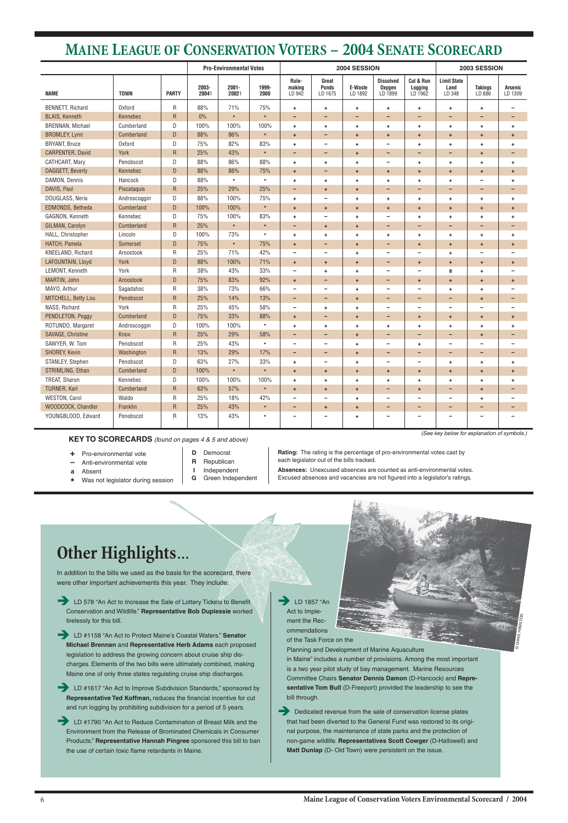

ommendations of the Task Force on the

Planning and Development of Marine Aquaculture in Maine" includes a number of provisions. Among the most important is a two year pilot study of bay management. Marine Resources Committee Chairs **Senator Dennis Damon** (D-Hancock) and **Representative Tom Bull** (D-Freeport) provided the leadership to see the bill through.

**EXECUTE:** Dedicated revenue from the sale of conservation license plates that had been diverted to the General Fund was restored to its original purpose, the maintenance of state parks and the protection of non-game wildlife. **Representatives Scott Cowger** (D-Hallowell) and **Matt Dunlap** (D- Old Town) were persistent on the issue.

**ED 578 "An Act to Increase the Sale of Lottery Tickets to Benefit"** Conservation and Wildlife." **Representative Bob Duplessie** worked tirelessly for this bill.





**EXECU** #1617 "An Act to Improve Subdivision Standards," sponsored by **Representative Ted Koffman,** reduces the financial incentive for cut and run logging by prohibiting subdivision for a period of 5 years.

In addition to the bills we used as the basis for the scorecard, there were other important achievements this year. They include:

**EXECUTE:** LD #1790 "An Act to Reduce Contamination of Breast Milk and the Environment from the Release of Brominated Chemicals in Consumer Products." **Representative Hannah Pingree** sponsored this bill to ban the use of certain toxic flame retardants in Maine.

Î LD #1158 "An Act to Protect Maine's Coastal Waters." **Senator Michael Brennan** and **Representative Herb Adams** each proposed legislation to address the growing concern about cruise ship discharges. Elements of the two bills were ultimately combined, making Maine one of only three states regulating cruise ship discharges.

**Rating:** The rating is the percentage of pro-environmental votes cast by each legislator out of the bills tracked.

- **+** Pro-environmental vote
- **–** Anti-environmental vote
- **a** Absent
- **\*** Was not legislator during session
- **D** Democrat **R** Republican
- 
- **I** Independent **G** Green Independent

**Absences:** Unexcused absences are counted as anti-environmental votes. Excused absences and vacancies are not figured into a legislator's ratings.

# **MAINE LEAGUE OF CONSERVATION VOTERS – 2004 SENATE SCORECARD**

(See key below for explanation of symbols.)

|                         | <b>Pro-Environmental Votes</b> |              |                |                   |               | 2004 SESSION              | 2003 SESSION                     |                      |                                       |                                 |                                      |                          |                          |
|-------------------------|--------------------------------|--------------|----------------|-------------------|---------------|---------------------------|----------------------------------|----------------------|---------------------------------------|---------------------------------|--------------------------------------|--------------------------|--------------------------|
| <b>NAME</b>             | <b>TOWN</b>                    | <b>PARTY</b> | 2003-<br>20041 | $2001 -$<br>20021 | 1999-<br>2000 | Rule-<br>making<br>LD 942 | Great<br><b>Ponds</b><br>LD 1675 | E-Waste<br>LD 1892   | <b>Dissolved</b><br>Oxygen<br>LD 1899 | Cut & Run<br>Logging<br>LD 1962 | <b>Limit State</b><br>Land<br>LD 348 | <b>Takings</b><br>LD 886 | Arsenic<br>LD 1309       |
| BENNETT, Richard        | Oxford                         | R            | 88%            | 71%               | 75%           | $\ddot{}$                 | $\ddot{}$                        | $\ddot{}$            | ٠                                     | ٠                               | ÷.                                   | $\ddot{}$                |                          |
| <b>BLAIS, Kenneth</b>   | Kennebec                       | $\mathsf{R}$ | $0\%$          | $\star$           | $\star$       | -                         | $\overline{\phantom{0}}$         | -                    | -                                     | $\overline{\phantom{0}}$        |                                      | ٠                        | $\overline{\phantom{0}}$ |
| <b>BRENNAN, Michael</b> | Cumberland                     | D            | 100%           | 100%              | 100%          | $\ddot{\phantom{1}}$      | $\ddot{}$                        | $\ddot{}$            | ٠                                     | ٠                               | ÷                                    | $\ddot{}$                | ٠                        |
| <b>BROMLEY, Lynn</b>    | Cumberland                     | $\mathsf D$  | 88%            | 86%               | $\star$       | $+$                       | $\overline{\phantom{0}}$         | $\pm$                | ÷                                     | $\ddot{}$                       | $\ddot{}$                            | $\ddot{\phantom{1}}$     | $\pm$                    |
| <b>BRYANT, Bruce</b>    | <b>Oxford</b>                  | D            | 75%            | 82%               | 83%           | $+$                       | $\overline{\phantom{a}}$         | $\pm$                | $\qquad \qquad -$                     | ٠                               | ÷                                    | $\ddot{}$                | $\ddot{}$                |
| <b>CARPENTER, David</b> | York                           | ${\sf R}$    | 25%            | 43%               | $\star$       | -                         | $\overline{\phantom{0}}$         | $\ddot{}$            | -                                     | $\overline{\phantom{0}}$        |                                      | $\ddot{}$                | -                        |
| CATHCART, Mary          | Penobscot                      | D            | 88%            | 86%               | 88%           | $\ddot{\phantom{1}}$      | $\ddot{}$                        | $\pm$                | $\qquad \qquad -$                     | ٠                               | ÷.                                   | $\ddot{}$                | $\ddot{}$                |
| DAGGETT, Beverly        | Kennebec                       | D            | 88%            | 86%               | 75%           | $+$                       | $\overline{\phantom{0}}$         | $\ddot{}$            | $\ddot{}$                             | $\ddot{}$                       | $+$                                  | $\ddot{\phantom{1}}$     | $\pm$                    |
| DAMON, Dennis           | Hancock                        | D            | 88%            | $\star$           | $\star$       | $\ddot{\phantom{1}}$      | $\ddot{}$                        | $\pm$                | ÷                                     | ÷                               | ÷.                                   | $\overline{\phantom{0}}$ | $\ddot{}$                |
| DAVIS, Paul             | Piscataquis                    | $\mathsf{R}$ | 25%            | 29%               | 25%           | $\overline{\phantom{0}}$  | $\ddot{}$                        | $\ddot{\phantom{1}}$ | -                                     | -                               | $\overline{\phantom{0}}$             | $\qquad \qquad -$        | $\qquad \qquad -$        |
| DOUGLASS, Neria         | Androscoggin                   | D            | 88%            | 100%              | 75%           | $\ddot{\phantom{1}}$      | $\overline{\phantom{0}}$         | $\ddot{}$            | ÷                                     | ÷                               | ÷.                                   | $\ddag$                  | $\ddot{}$                |
| EDMONDS, Betheda        | Cumberland                     | $\mathsf D$  | 100%           | 100%              | $\star$       | $+$                       | $\ddot{}$                        | $\ddot{}$            | ÷                                     | $\ddot{}$                       | ÷                                    | $\ddot{\phantom{1}}$     | $\ddot{}$                |
| GAGNON, Kenneth         | Kennebec                       | D            | 75%            | 100%              | 83%           | $\ddot{}$                 | $\qquad \qquad$                  | $\ddot{}$            | $\qquad \qquad -$                     | ÷                               | ÷                                    | $\ddag$                  | ٠                        |
| GILMAN, Carolyn         | Cumberland                     | $\mathsf{R}$ | 25%            | $\star$           | $\star$       | -                         | $\ddot{\phantom{1}}$             | $\ddot{}$            | -                                     | -                               | -                                    | $\overline{a}$           | $\qquad \qquad -$        |
| HALL, Christopher       | Lincoln                        | D            | 100%           | 73%               | $\star$       | $\ddot{}$                 | $\ddot{}$                        | $\ddot{}$            | ÷                                     | ٠                               | ÷                                    | $\ddag$                  | $\ddot{}$                |
| HATCH, Pamela           | Somerset                       | $\mathsf D$  | 75%            | $\star$           | 75%           | $+$                       | $\overline{\phantom{0}}$         | $\pm$                | -                                     | $\ddot{}$                       | $\ddot{}$                            | $\ddot{\phantom{1}}$     | $\pm$                    |
| KNEELAND, Richard       | Aroostook                      | ${\sf R}$    | 25%            | 71%               | 42%           | $\qquad \qquad -$         | $\qquad \qquad -$                | $\ddot{}$            | $\overline{\phantom{0}}$              | $\overline{\phantom{0}}$        | $\ddot{}$                            | $\overline{\phantom{0}}$ |                          |
| LAFOUNTAIN, Lloyd       | York                           | D            | 88%            | 100%              | 71%           | $+$                       | $\ddot{}$                        | $\ddot{}$            | -                                     | ÷                               | $\ddot{}$                            | $\ddot{\phantom{1}}$     | $\ddot{}$                |
| LEMONT, Kenneth         | York                           | ${\sf R}$    | 38%            | 43%               | 33%           | $\qquad \qquad -$         | $\ddot{}$                        | $\ddot{}$            | -                                     |                                 | a                                    | $\ddot{}$                |                          |
| MARTIN, John            | Aroostook                      | $\mathsf D$  | 75%            | 83%               | 92%           | $+$                       | -                                | $\ddot{}$            | -                                     | $\ddot{}$                       | $\ddot{}$                            | $\ddot{\phantom{1}}$     | $\pm$                    |
| MAYO, Arthur            | Sagadahoc                      | ${\sf R}$    | 38%            | 73%               | 66%           | $\qquad \qquad -$         | $\overline{\phantom{m}}$         | $\ddot{\phantom{1}}$ | $\qquad \qquad -$                     | $\overline{\phantom{a}}$        | $\ddot{}$                            | $\ddot{}$                |                          |
| MITCHELL, Betty Lou     | Penobscot                      | ${\sf R}$    | 25%            | 14%               | 13%           | $\overline{\phantom{0}}$  | $\overline{\phantom{0}}$         | $\pm$                | -                                     | -                               | $\qquad \qquad -$                    | $\ddot{\phantom{1}}$     | -                        |
| NASS, Richard           | York                           | R            | 25%            | 45%               | 58%           | $\qquad \qquad -$         | $\ddot{}$                        | $\ddot{}$            | $\qquad \qquad -$                     | $\overline{\phantom{0}}$        | $\overline{\phantom{0}}$             | $\overline{\phantom{0}}$ |                          |
| PENDLETON, Peggy        | Cumberland                     | D            | 75%            | 33%               | 88%           | $+$                       | $\qquad \qquad -$                | $\ddot{\phantom{1}}$ | -                                     | $\ddot{}$                       | $+$                                  | $\ddot{\phantom{1}}$     | $\ddot{}$                |
| ROTUNDO, Margaret       | Androscoggin                   | D            | 100%           | 100%              | $\star$       | ÷                         | $\ddot{}$                        | $\ddot{}$            | ٠                                     | ÷                               | ÷                                    | $\ddot{}$                | ÷                        |
| SAVAGE, Christine       | Knox                           | $\mathsf{R}$ | 25%            | 29%               | 58%           | $\qquad \qquad -$         | $\qquad \qquad -$                | $\pm$                | -                                     | $\qquad \qquad -$               | $\qquad \qquad -$                    | $\ddot{\phantom{1}}$     | -                        |
| SAWYER, W. Tom          | Penobscot                      | R            | 25%            | 43%               | $\pmb{\ast}$  | $\overline{\phantom{0}}$  | $\overline{\phantom{a}}$         | $\ddot{}$            | $\qquad \qquad -$                     | ٠                               | $\overline{\phantom{0}}$             | $\overline{\phantom{0}}$ | $\overline{\phantom{0}}$ |
| SHOREY, Kevin           | Washington                     | ${\sf R}$    | 13%            | 29%               | 17%           | -                         | $\overline{\phantom{0}}$         | $\ddot{}$            | -                                     | $\overline{\phantom{0}}$        | -                                    | ٠                        | -                        |
| STANLEY, Stephen        | Penobscot                      | D            | 63%            | 27%               | 33%           | $\ddot{}$                 | $\overline{\phantom{m}}$         | $\ddot{}$            | $\qquad \qquad -$                     | $\overline{\phantom{m}}$        | ÷                                    | $\ddot{}$                | ÷                        |
| STRIMLING, Ethan        | Cumberland                     | D            | 100%           | $\star$           | $\pmb{\ast}$  | $\ddot{\phantom{1}}$      |                                  | ÷                    | +                                     | $\ddot{}$                       | $\ddot{}$                            | ÷                        |                          |
| TREAT, Sharon           | Kennebec                       | D            | 100%           | 100%              | 100%          | $\ddot{}$                 | ٠                                | $\pm$                | ÷                                     | ۰                               | ÷                                    | $\ddot{}$                | ÷                        |
| <b>TURNER, Karl</b>     | Cumberland                     | ${\sf R}$    | 63%            | 57%               | $\star$       | $+$                       | $\ddot{}$                        | $\pm$                | -                                     | $\ddot{}$                       | -                                    | $\pm$                    |                          |
| <b>WESTON, Carol</b>    | Waldo                          | ${\sf R}$    | 25%            | 18%               | 42%           |                           | $\qquad \qquad$                  | $\ddot{\phantom{1}}$ | -                                     |                                 |                                      | $\ddag$                  |                          |
| WOODCOCK, Chandler      | Franklin                       | ${\sf R}$    | 25%            | 43%               | $\star$       | -                         | $\ddot{}$                        | $\pm$                | ۰                                     | ۰                               | $\overline{\phantom{0}}$             | $\qquad \qquad -$        | -                        |
| YOUNGBLOOD, Edward      | Penobscot                      | ${\sf R}$    | 13%            | 43%               | $\star$       |                           | $\overline{\phantom{a}}$         | $\pmb{+}$            | $\qquad \qquad \blacksquare$          | $\qquad \qquad -$               |                                      | $\overline{\phantom{m}}$ |                          |

**KEY TO SCORECARDS** (found on pages 4 & 5 and above)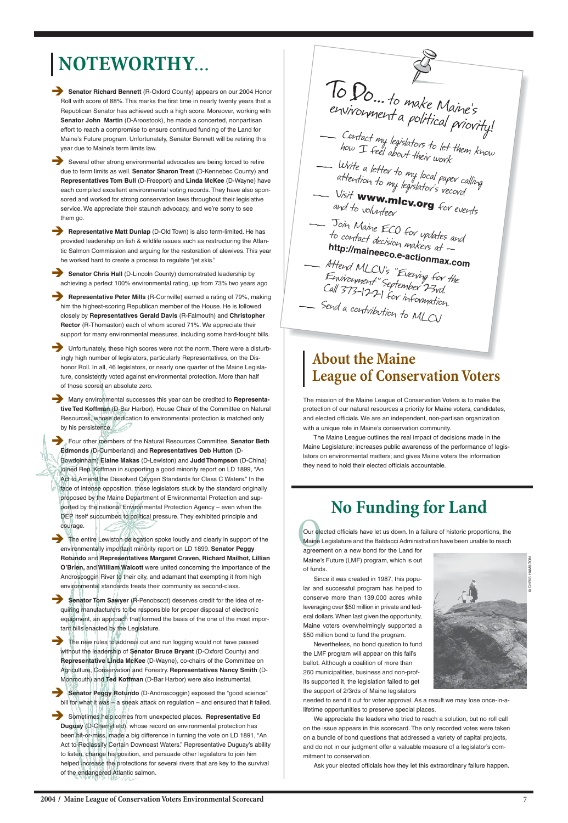# **NOTEWORTHY**...

- **Senator Richard Bennett** (R-Oxford County) appears on our 2004 Honor Roll with score of 88%. This marks the first time in nearly twenty years that a Republican Senator has achieved such a high score. Moreover, working with **Senator John Martin** (D-Aroostook), he made a concerted, nonpartisan effort to reach a compromise to ensure continued funding of the Land for Maine's Future program. Unfortunately, Senator Bennett will be retiring this year due to Maine's term limits law.
- Several other strong environmental advocates are being forced to retire due to term limits as well. **Senator Sharon Treat** (D-Kennebec County) and **Representatives Tom Bull** (D-Freeport) and **Linda McKee** (D-Wayne) have each compiled excellent environmental voting records. They have also sponsored and worked for strong conservation laws throughout their legislative service. We appreciate their staunch advocacy, and we're sorry to see them go.

**Representative Matt Dunlap** (D-Old Town) is also term-limited. He has provided leadership on fish & wildlife issues such as restructuring the Atlantic Salmon Commission and arguing for the restoration of alewives. This year he worked hard to create a process to regulate "jet skis."

- **Senator Chris Hall** (D-Lincoln County) demonstrated leadership by achieving a perfect 100% environmental rating, up from 73% two years ago
- **Representative Peter Mills** (R-Cornville) earned a rating of 79%, making him the highest-scoring Republican member of the House. He is followed closely by **Representatives Gerald Davis** (R-Falmouth) and **Christopher Rector** (R-Thomaston) each of whom scored 71%. We appreciate their support for many environmental measures, including some hard-fought bills.

Unfortunately, these high scores were not the norm. There were a disturbingly high number of legislators, particularly Representatives, on the Dishonor Roll. In all, 46 legislators, or nearly one quarter of the Maine Legislature, consistently voted against environmental protection. More than half of those scored an absolute zero.

Many environmental successes this year can be credited to Representa**tive Ted Koffman** (D-Bar Harbor), House Chair of the Committee on Natural Resources, whose dedication to environmental protection is matched only by his persistence.

**Four other members of the Natural Resources Committee, Senator Beth Edmonds** (D-Cumberland) and **Representatives Deb Hutton** (D-Bowdoinham) **Elaine Makas** (D-Lewiston) and **Judd Thompson** (D-China) joined Rep. Koffman in supporting a good minority report on LD 1899, "An Act to Amend the Dissolved Oxygen Standards for Class C Waters." In the face of intense opposition, these legislators stuck by the standard originally proposed by the Maine Department of Environmental Protection and supported by the national Environmental Protection Agency – even when the DEP itself succumbed to political pressure. They exhibited principle and courage.

The entire Lewiston delegation spoke loudly and clearly in support of the environmentally important minority report on LD 1899. **Senator Peggy Rotundo** and **Representatives Margaret Craven, Richard Mailhot, Lillian O'Brien,** and **William Walcott** were united concerning the importance of the Androscoggin River to their city, and adamant that exempting it from high environmental standards treats their community as second-class.

**Senator Tom Sawyer** (R-Penobscot) deserves credit for the idea of requiring manufacturers to be responsible for proper disposal of electronic equipment, an approach that formed the basis of the one of the most impor-

Contact my legislators to let them know how I feel about their work Write a letter to my local paper calling<br>attention to my legislator's record<br>— Visit **WWW www.mlcv.org** for events and to volunteer \_\_ Join Maine ECO for updates and to contact decision tor updates a<br>**http://mainece**s... **http://maineeco.e-actionmax.com** Aftend MLCV's "Evening for the Environment" September Call 373-1221 for information. - Send a contribution to MLCV To Do... to make Maine's<br>environment a political priority!

The new rules to address cut and run logging would not have passed without the leadership of **Senator Bruce Bryant** (D-Oxford County) and **Representative Linda McKee** (D-Wayne), co-chairs of the Committee on Agriculture, Conservation and Forestry. **Representatives Nancy Smith** (D-Monmouth) and **Ted Koffman** (D-Bar Harbor) were also instrumental.

Senator Peggy Rotundo (D-Androscoggin) exposed the "good science" bill for what it was – a sneak attack on regulation – and ensured that it failed.

**EXECUTE:** Sometimes help comes from unexpected places. **Representative Ed Duguay** (D-Cherryfield), whose record on environmental protection has been hit-or-miss, made a big difference in turning the vote on LD 1891, "An Act to Reclassify Certain Downeast Waters." Representative Duguay's ability to listen, change his position, and persuade other legislators to join him helped increase the protections for several rivers that are key to the survival of the endangered Atlantic salmon.

Our ele<br>Maine<br>agreen Our elected officials have let us down. In a failure of historic proportions, the Maine Legislature and the Baldacci Administration have been unable to reach

tant bills enacted by the Legislature.

7

The mission of the Maine League of Conservation Voters is to make the protection of our natural resources a priority for Maine voters, candidates, and elected officials. We are an independent, non-partisan organization with a unique role in Maine's conservation community.

The Maine League outlines the real impact of decisions made in the Maine Legislature; increases public awareness of the performance of legislators on environmental matters; and gives Maine voters the information they need to hold their elected officials accountable.

# **About the Maine League of Conservation Voters**

# **No Funding for Land**

agreement on a new bond for the Land for Maine's Future (LMF) program, which is out of funds.

Since it was created in 1987, this popular and successful program has helped to conserve more than 139,000 acres while leveraging over \$50 million in private and federal dollars. When last given the opportunity, Maine voters overwhelmingly supported a \$50 million bond to fund the program. Nevertheless, no bond question to fund the LMF program will appear on this fall's ballot. Although a coalition of more than 260 municipalities, business and non-profits supported it, the legislation failed to get the support of 2/3rds of Maine legislators

needed to send it out for voter approval. As a result we may lose once-in-alifetime opportunities to preserve special places.

We appreciate the leaders who tried to reach a solution, but no roll call on the issue appears in this scorecard. The only recorded votes were taken on a bundle of bond questions that addressed a variety of capital projects, and do not in our judgment offer a valuable measure of a legislator's commitment to conservation.

Ask your elected officials how they let this extraordinary failure happen.